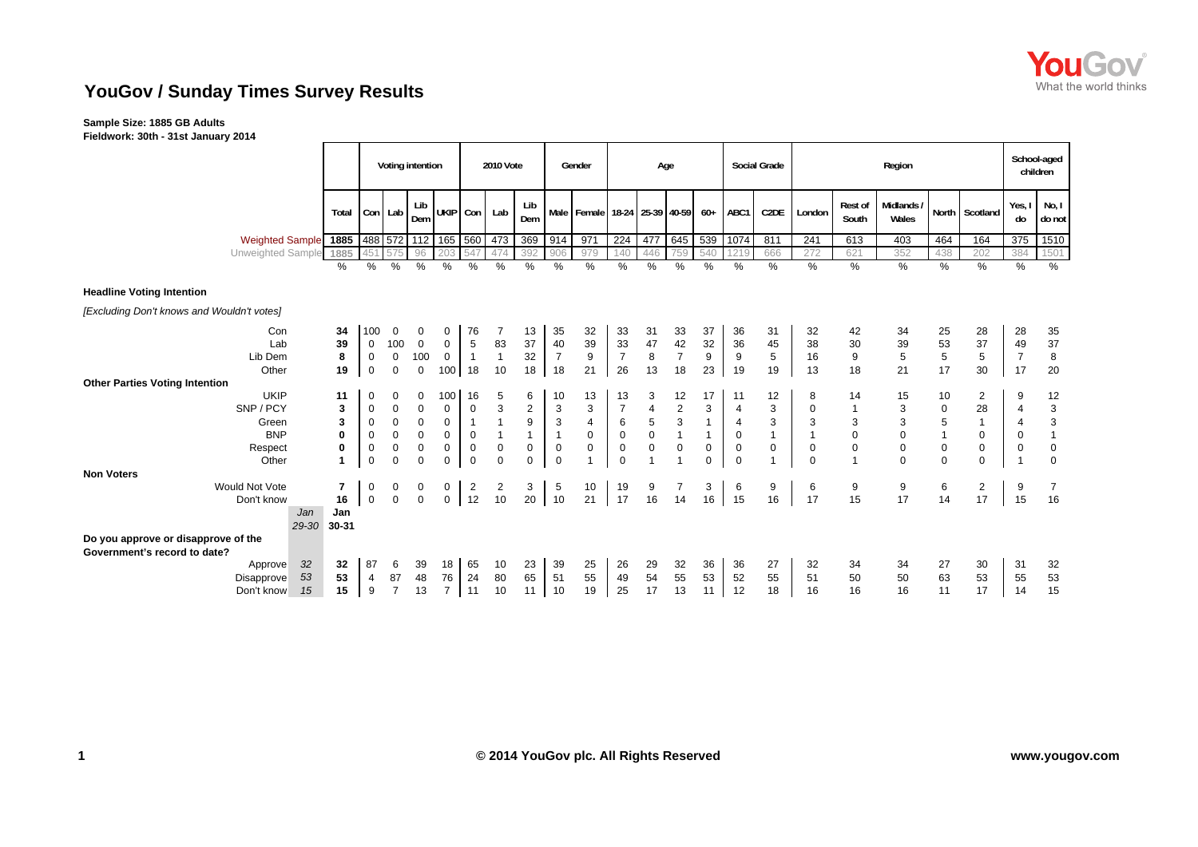

## **YouGov / Sunday Times Survey Results**

## **Sample Size: 1885 GB Adults**

**Fieldwork: 30th - 31st January 2014**

|                                            |             |                  |                | Voting intention    |                |                | 2010 Vote   |                  |                           | Gender                                |                |             | Age                       |                  |                | <b>Social Grade</b> |                  |                  | Region              |                |                |                          | School-aged<br>children |
|--------------------------------------------|-------------|------------------|----------------|---------------------|----------------|----------------|-------------|------------------|---------------------------|---------------------------------------|----------------|-------------|---------------------------|------------------|----------------|---------------------|------------------|------------------|---------------------|----------------|----------------|--------------------------|-------------------------|
|                                            | Total       |                  | Con Lab        | Lib<br>Dem          | UKIP Con       |                | Lab         | Lib<br>Dem       |                           | Male   Female   18-24   25-39   40-59 |                |             |                           | $60+$            | ABC1           | C <sub>2</sub> DE   | London           | Rest of<br>South | Midlands /<br>Wales |                | North Scotland | Yes,<br>do               | No, I<br>do not         |
| <b>Weighted Sample</b>                     | 1885        |                  |                | 488 572 112 165 560 |                |                | 473         | 369              | 914                       | 971                                   | 224            | 477         | 645                       | 539              | 1074           | 811                 | 241              | 613              | 403                 | 464            | 164            | 375                      | 1510                    |
| Unweighted Sample                          | 1885        | 451              |                | 96                  | 203            | 547            | 474         | 392              | 906                       | 979                                   | 140            | 446         | 759                       | 540              | 1219           | 666                 | 272              | 621              | 352                 | 438            | 202            | 384                      | 1501                    |
|                                            | %           | %                | %              | %                   | %              | %              | %           | %                | %                         | $\%$                                  | $\%$           | %           | $\%$                      | $\%$             | %              | $\%$                | $\%$             | $\%$             | $\%$                | $\%$           | $\%$           | $\%$                     | $\%$                    |
| <b>Headline Voting Intention</b>           |             |                  |                |                     |                |                |             |                  |                           |                                       |                |             |                           |                  |                |                     |                  |                  |                     |                |                |                          |                         |
| [Excluding Don't knows and Wouldn't votes] |             |                  |                |                     |                |                |             |                  |                           |                                       |                |             |                           |                  |                |                     |                  |                  |                     |                |                |                          |                         |
| Con                                        | 34          | 100              | $\mathbf 0$    | 0                   | 0              | 76             |             | 13               | 35                        | 32                                    | 33             | 31          | 33                        | 37               | 36             | 31                  | 32               | 42               | 34                  | 25             | 28             | 28                       | 35                      |
| Lab                                        | 39          | 0                | 100            | $\mathbf 0$         | 0              | $\,$ 5 $\,$    | 83          | 37               | 40                        | 39                                    | 33             | 47          | 42                        | 32               | 36             | 45                  | 38               | 30               | 39                  | 53             | 37             | 49                       | $37\,$                  |
| Lib Dem                                    | 8           | $\mathbf 0$      | $\mathbf 0$    | 100                 | $\overline{0}$ | $\overline{1}$ |             | 32               | $\overline{7}$            | $\boldsymbol{9}$                      | $\overline{7}$ | $\bf 8$     | $\overline{7}$            | $\boldsymbol{9}$ | 9              | 5                   | 16               | $\boldsymbol{9}$ | $\sqrt{5}$          | $\overline{5}$ | $\,$ 5 $\,$    | $\overline{7}$           | $\bf 8$                 |
| Other                                      | 19          | $\boldsymbol{0}$ | $\mathbf 0$    | $\Omega$            | 100            | 18             | 10          | 18               | 18                        | 21                                    | 26             | 13          | 18                        | 23               | 19             | 19                  | 13               | 18               | 21                  | 17             | 30             | 17                       | 20                      |
| <b>Other Parties Voting Intention</b>      |             |                  |                |                     |                |                |             |                  |                           |                                       |                |             |                           |                  |                |                     |                  |                  |                     |                |                |                          |                         |
| <b>UKIP</b>                                | 11          | 0                | 0              | 0                   | 100            | 16             | 5           | 6                | 10                        | 13                                    | 13             | 3           | 12                        | 17               | 11             | 12                  | 8                | 14               | 15                  | 10             | 2              | 9                        | 12                      |
| SNP/PCY                                    | 3           | 0                | 0              | 0                   | 0              | $\mathbf 0$    | 3           | $\boldsymbol{2}$ | $\ensuremath{\mathsf{3}}$ | $\ensuremath{\mathsf{3}}$             | $\overline{7}$ | 4           | $\mathbf 2$               | 3                | $\overline{4}$ | 3                   | $\mathbf 0$      | $\overline{1}$   | 3                   | 0              | 28             | $\overline{4}$           | $\mathbf 3$             |
| Green                                      | 3           | $\boldsymbol{0}$ | $\mathbf 0$    | $\mathbf 0$         | 0              | $\mathbf{1}$   |             | 9                | $\mathbf{3}$              | $\overline{4}$                        | $\,6\,$        | 5           | $\ensuremath{\mathsf{3}}$ | $\mathbf{1}$     | $\overline{4}$ | 3                   | 3                | 3                | 3                   | 5              | $\mathbf{1}$   | $\overline{\mathcal{A}}$ | $\mathbf{3}$            |
| <b>BNP</b>                                 | 0           | 0                | $\mathbf 0$    | $\mathbf 0$         | 0              | $\mathbf 0$    |             | $\mathbf{1}$     | $\mathbf{1}$              | $\mathsf 0$                           | $\pmb{0}$      | $\pmb{0}$   | $\mathbf{1}$              | $\mathbf{1}$     | $\mathbf 0$    | $\overline{1}$      |                  | $\mathsf 0$      | $\mathbf 0$         |                | $\mathbf 0$    | 0                        | $\mathbf{1}$            |
| Respect                                    | 0           | $\pmb{0}$        | $\pmb{0}$      | $\mathbf 0$         | 0              | $\pmb{0}$      | $\mathbf 0$ | $\pmb{0}$        | $\mathbf 0$               | $\mathsf 0$                           | $\pmb{0}$      | $\mathbf 0$ | $\mathbf 0$               | $\mathbf 0$      | $\mathbf 0$    | 0                   | $\boldsymbol{0}$ | $\mathbf 0$      | $\pmb{0}$           | $\pmb{0}$      | $\mathbf 0$    | 0                        | $\boldsymbol{0}$        |
| Other                                      |             | $\mathbf 0$      | $\mathbf 0$    | $\Omega$            | $\mathbf 0$    | $\mathbf 0$    | $\Omega$    | $\mathbf 0$      | $\mathbf 0$               | $\overline{1}$                        | $\mathbf 0$    |             | $\overline{1}$            | $\mathbf 0$      | $\Omega$       | $\overline{1}$      | $\Omega$         | $\overline{1}$   | $\Omega$            | $\Omega$       | $\mathbf 0$    | 1                        | $\mathbf 0$             |
| <b>Non Voters</b>                          |             |                  |                |                     |                |                |             |                  |                           |                                       |                |             |                           |                  |                |                     |                  |                  |                     |                |                |                          |                         |
| Would Not Vote                             | 7           | 0                | 0              | 0                   | 0              | 2              | 2           | 3                | 5                         | 10                                    | 19             | 9           | 7                         | 3                | 6              | 9                   | 6                | 9                | 9                   | 6              | $\overline{2}$ | 9                        | $\overline{7}$          |
| Don't know                                 | 16          | $\mathbf 0$      | $\Omega$       | $\Omega$            | $\mathbf{0}$   | 12             | 10          | 20               | 10                        | 21                                    | 17             | 16          | 14                        | 16               | 15             | 16                  | 17               | 15               | 17                  | 14             | 17             | 15                       | 16                      |
| Jan                                        | Jan         |                  |                |                     |                |                |             |                  |                           |                                       |                |             |                           |                  |                |                     |                  |                  |                     |                |                |                          |                         |
|                                            | 29-30 30-31 |                  |                |                     |                |                |             |                  |                           |                                       |                |             |                           |                  |                |                     |                  |                  |                     |                |                |                          |                         |
| Do you approve or disapprove of the        |             |                  |                |                     |                |                |             |                  |                           |                                       |                |             |                           |                  |                |                     |                  |                  |                     |                |                |                          |                         |
| Government's record to date?               |             |                  |                |                     |                |                |             |                  |                           |                                       |                |             |                           |                  |                |                     |                  |                  |                     |                |                |                          |                         |
| 32<br>Approve                              | 32          | 87               | 6              | 39                  | 18             | 65             | 10          | 23               | 39                        | 25                                    | 26             | 29          | 32                        | 36               | 36             | 27                  | 32               | 34               | 34                  | 27             | 30             | 31                       | 32                      |
| 53<br>Disapprove                           | 53          | 4                | 87             | 48                  | 76             | 24             | 80          | 65               | 51                        | 55                                    | 49             | 54          | 55                        | 53               | 52             | 55                  | 51               | 50               | 50                  | 63             | 53             | 55                       | 53                      |
| 15<br>Don't know                           | 15          | 9                | $\overline{7}$ | 13                  | $\overline{7}$ | 11             | 10          | 11               | 10                        | 19                                    | 25             | 17          | 13                        | 11               | 12             | 18                  | 16               | 16               | 16                  | 11             | 17             | 14                       | 15                      |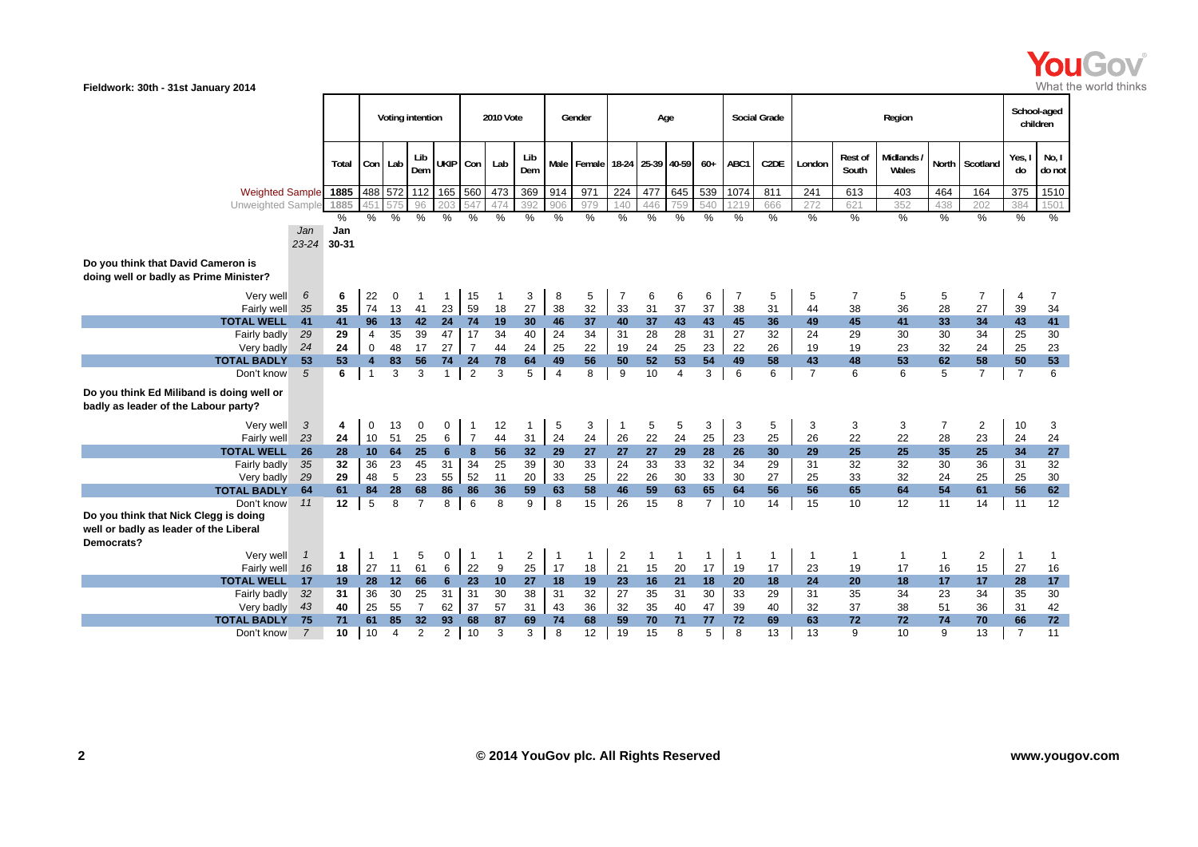

|                                                                                                             |                |                       |                         | Voting intention |                      |                     |                | <b>2010 Vote</b> |                |                | Gender                                |                |              | Age            |                |                | <b>Social Grade</b> |                |                  | Region              |                |                |                | School-aged<br>children |
|-------------------------------------------------------------------------------------------------------------|----------------|-----------------------|-------------------------|------------------|----------------------|---------------------|----------------|------------------|----------------|----------------|---------------------------------------|----------------|--------------|----------------|----------------|----------------|---------------------|----------------|------------------|---------------------|----------------|----------------|----------------|-------------------------|
|                                                                                                             |                | Total                 |                         | Con Lab          | Lib<br>Dem           | UKIP Con            |                | Lab              | Lib<br>Dem     |                | Male   Female   18-24   25-39   40-59 |                |              |                | $60+$          | ABC1           | C <sub>2</sub> DE   | London         | Rest of<br>South | Midlands /<br>Wales |                | North Scotland | Yes, I<br>do   | No, I<br>do not         |
| Weighted Sample 1885                                                                                        |                |                       |                         |                  |                      | 488 572 112 165 560 |                | 473              | 369            | 914            | 971                                   | 224            | 477          | 645            | 539            | 1074           | 811                 | 241            | 613              | 403                 | 464            | 164            | 375            | 1510                    |
| <b>Unweighted Sample</b>                                                                                    |                | 1885                  |                         |                  | 96                   |                     |                | 47               | 392            | 906            | 979                                   | 140            | 446          | 759            | 540            | 1219           | 666                 | 272            | 621              | 352                 | 438            | 202            | 384            | 1501                    |
|                                                                                                             |                | %                     | $\%$                    | %                | %                    | %                   | %              | %                | %              | $\frac{1}{2}$  | %                                     | $\%$           | %            | %              | %              | %              | %                   | %              | %                | %                   | %              | $\%$           | %              | $\%$                    |
|                                                                                                             | Jan            | Jan                   |                         |                  |                      |                     |                |                  |                |                |                                       |                |              |                |                |                |                     |                |                  |                     |                |                |                |                         |
|                                                                                                             | 23-24 30-31    |                       |                         |                  |                      |                     |                |                  |                |                |                                       |                |              |                |                |                |                     |                |                  |                     |                |                |                |                         |
| Do you think that David Cameron is<br>doing well or badly as Prime Minister?                                |                |                       |                         |                  |                      |                     |                |                  |                |                |                                       |                |              |                |                |                |                     |                |                  |                     |                |                |                |                         |
| Very well                                                                                                   | 6              | 6                     | 22                      | $\mathbf 0$      |                      | 1                   | 15             | $\mathbf{1}$     | 3              | 8              | 5                                     | $\overline{7}$ | 6            | 6              | 6              | $\overline{7}$ | 5                   | 5              | $\overline{7}$   | 5                   | 5              | $\overline{7}$ | 4              | $\overline{7}$          |
| Fairly well                                                                                                 | 35             | 35                    | 74                      | 13               | 41                   | 23                  | 59             | 18               | 27             | 38             | 32                                    | 33             | 31           | 37             | 37             | 38             | 31                  | 44             | 38               | 36                  | 28             | 27             | 39             | 34                      |
| <b>TOTAL WELL</b>                                                                                           | 41             | 41                    | 96                      | 13               | 42                   | 24                  | 74             | 19               | 30             | 46             | 37                                    | 40             | 37           | 43             | 43             | 45             | 36                  | 49             | 45               | 41                  | 33             | 34             | 43             | 41                      |
| Fairly badly                                                                                                | 29             | 29                    | $\overline{4}$          | 35               | 39                   | 47                  | 17             | 34               | 40             | 24             | 34                                    | 31             | 28           | 28             | 31             | 27             | 32                  | 24             | 29               | 30                  | 30             | 34             | 25             | 30                      |
| Very badly                                                                                                  | 24             | 24                    | $\mathbf 0$             | 48               | 17                   | 27                  | $\overline{7}$ | 44               | 24             | 25             | 22                                    | 19             | 24           | 25             | 23             | 22             | 26                  | 19             | 19               | 23                  | 32             | 24             | 25             | 23                      |
| <b>TOTAL BADLY</b>                                                                                          | 53             | 53                    | $\overline{\mathbf{4}}$ | 83               | 56                   | 74                  | 24             | 78               | 64             | 49             | 56                                    | 50             | 52           | 53             | 54             | 49             | 58                  | 43             | 48               | 53                  | 62             | 58             | 50             | 53                      |
| Don't know                                                                                                  | $\overline{5}$ | 6                     | $\overline{1}$          | 3                | 3                    | $\mathbf{1}$        | $\overline{2}$ | 3                | 5              | $\overline{4}$ | 8                                     | 9              | 10           | $\overline{4}$ | 3              | 6              | 6                   | $\overline{7}$ | 6                | 6                   | 5              | $\overline{7}$ | $\overline{7}$ | 6                       |
| Do you think Ed Miliband is doing well or<br>badly as leader of the Labour party?                           |                |                       |                         |                  |                      |                     |                |                  |                |                |                                       |                |              |                |                |                |                     |                |                  |                     |                |                |                |                         |
| Very well                                                                                                   | 3              | 4                     | 0                       | 13               | 0                    | 0                   | $\overline{1}$ | 12               | 1              | 5              | 3                                     | $\mathbf{1}$   | 5            | 5              | 3              | 3              | 5                   | 3              | 3                | 3                   | $\overline{7}$ | $\overline{2}$ | 10             | 3                       |
| Fairly well                                                                                                 | 23             | 24                    | 10                      | 51               | 25                   | 6                   | $\overline{7}$ | 44               | 31             | 24             | 24                                    | 26             | 22           | 24             | 25             | 23             | 25                  | 26             | 22               | 22                  | 28             | 23             | 24             | 24                      |
| <b>TOTAL WELL</b>                                                                                           | 26             |                       |                         |                  |                      |                     | 8              | 56               | 32             | 29             | 27                                    | 27             | 27           | 29             | 28             | 26             | 30                  | 29             | 25               | 25                  | 35             | 25             | 34             | ${\bf 27}$              |
| Fairly badly                                                                                                | 35             | 32                    | 36                      | 23               | 45                   | 31                  | 34             | 25               | 39             | 30             | 33                                    | 24             | 33           | 33             | 32             | 34             | 29                  | 31             | 32               | 32                  | 30             | 36             | 31             | 32                      |
| Very badly                                                                                                  | 29             | 29                    | 48                      | 5                | 23                   | 55                  | 52             | 11               | 20             | 33             | 25                                    | 22             | 26           | 30             | 33             | 30             | 27                  | 25             | 33               | 32                  | 24             | 25             | 25             | $30\,$                  |
| <b>TOTAL BADLY</b>                                                                                          | 64             | 61<br>12 <sub>2</sub> | 84<br>5                 | 28<br>8          | 68<br>$\overline{7}$ | 86<br>8             | 86             | 36               | 59             | 63             | 58                                    | 46             | 59           | 63             | 65             | 64             | 56                  | 56             | 65               | 64                  | 54             | 61             | 56             | 62                      |
| Don't know<br>Do you think that Nick Clegg is doing<br>well or badly as leader of the Liberal<br>Democrats? | 11             |                       |                         |                  |                      |                     | 6              | 8                | 9              | 8              | 15                                    | 26             | 15           | 8              | $\overline{7}$ | 10             | 14                  | 15             | 10               | 12                  | 11             | 14             | 11             | 12                      |
| Very well                                                                                                   | $\mathbf{1}$   | 1                     | $\mathbf{1}$            | 1                | 5                    | 0                   | $\mathbf{1}$   | $\mathbf{1}$     | $\overline{2}$ | $\mathbf 1$    | $\mathbf{1}$                          | $\overline{2}$ | $\mathbf{1}$ | $\mathbf{1}$   | -1             | $\overline{1}$ | 1                   | -1             | 1                | $\mathbf{1}$        | 1              | $\overline{2}$ | -1             | -1                      |
| Fairly well                                                                                                 | 16             | 18                    | 27                      | 11               | 61                   | 6                   | 22             | 9                | 25             | 17             | 18                                    | 21             | 15           | 20             | 17             | 19             | 17                  | 23             | 19               | 17                  | 16             | 15             | 27             | 16                      |
| <b>TOTAL WELL</b>                                                                                           | 17             | 19                    | 28                      | 12               | 66                   | 6                   | 23             | 10               | 27             | 18             | 19                                    | 23             | 16           | 21             | 18             | 20             | 18                  | 24             | 20               | 18                  | 17             | 17             | 28             | 17                      |
| Fairly badly                                                                                                | 32             | 31                    | 36                      | 30               | 25                   | 31                  | 31             | 30               | 38             | 31             | 32                                    | 27             | 35           | 31             | 30             | 33             | 29                  | 31             | 35               | 34                  | 23             | 34             | 35             | $30\,$                  |
| Very badly                                                                                                  | 43             | 40                    | 25                      | 55               | $\overline{7}$       | 62                  | 37             | 57               | 31             | 43             | 36                                    | 32             | 35           | 40             | 47             | 39             | 40                  | 32             | 37               | 38                  | 51             | 36             | 31             | 42                      |
| <b>TOTAL BADLY</b>                                                                                          | 75             | 71                    | 61                      | 85               | 32                   | 93                  | 68             | 87               | 69             | 74             | 68                                    | 59             | 70           | 71             | 77             | 72             | 69                  | 63             | 72               | 72                  | 74             | 70             | 66             | ${\bf 72}$              |
| Don't know                                                                                                  | $\overline{7}$ | 10                    | 10                      | 4                | 2                    | $\overline{2}$      | 10             | 3                | 3              | 8              | 12                                    | 19             | 15           | 8              | 5              | 8              | 13                  | 13             | 9                | 10                  | 9              | 13             | $\overline{7}$ | 11                      |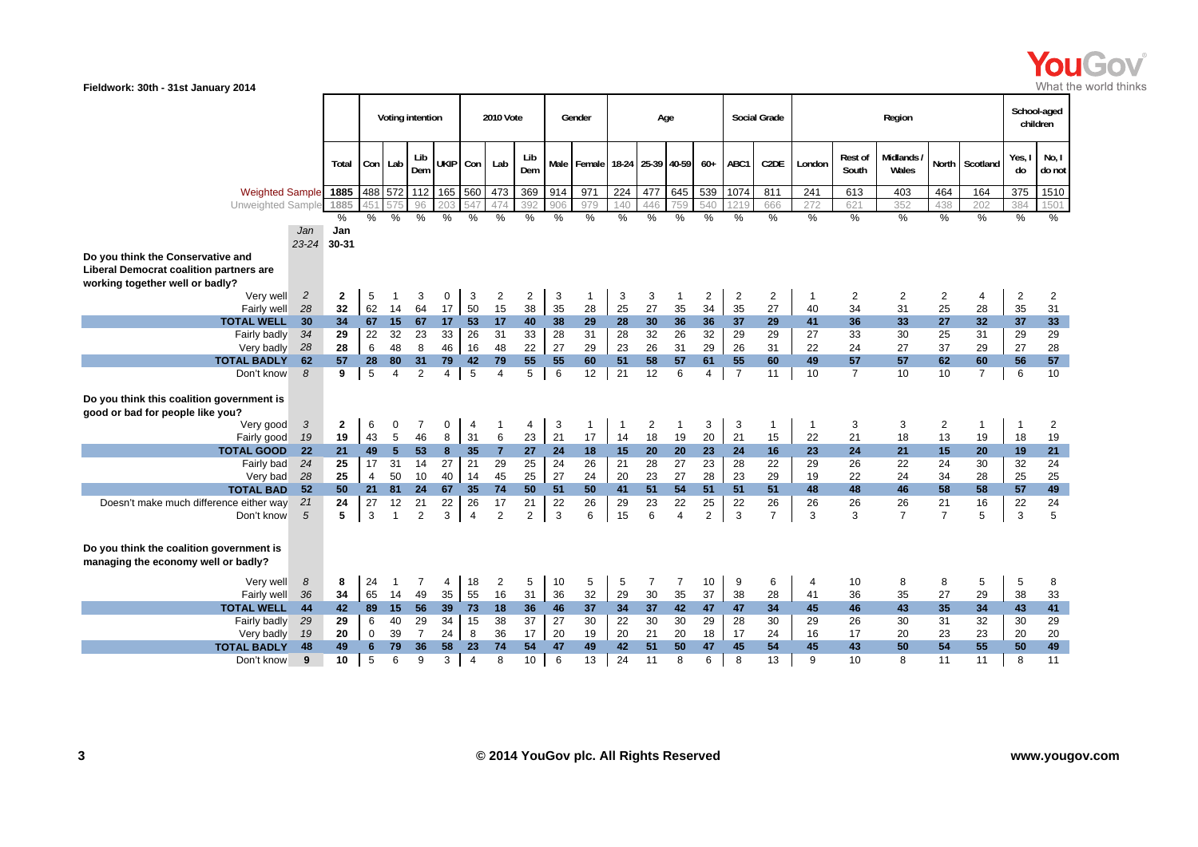

|                                           |                      |              |                | Voting intention   |                      |                  |                      | 2010 Vote      |                      |         | Gender       |                | Age               |                      |                      |                      | Social Grade         |                |                  | Region                   |                      |                 | School-aged<br>children |                      |
|-------------------------------------------|----------------------|--------------|----------------|--------------------|----------------------|------------------|----------------------|----------------|----------------------|---------|--------------|----------------|-------------------|----------------------|----------------------|----------------------|----------------------|----------------|------------------|--------------------------|----------------------|-----------------|-------------------------|----------------------|
|                                           |                      | Total        | Con Lab        |                    | Lib<br>Dem           | UKIP Con         |                      | Lab            | Lib<br>Dem           |         | Male Female  |                | 18-24 25-39 40-59 |                      | $60+$                | ABC1                 | C <sub>2</sub> DE    | London         | Rest of<br>South | <b>Midlands</b><br>Wales |                      | North Scotland  | Yes, I<br>do            | No, I<br>do not      |
| <b>Weighted Sample</b>                    |                      | 1885         |                | 488 572            | 112                  | 165 560          |                      | 473            | 369                  | 914     | 971          | 224            | 477               | 645                  | 539                  | 1074                 | 811                  | 241            | 613              | 403                      | 464                  | 164             | 375                     | 1510                 |
| Unweighted Sample                         |                      | 1885         |                |                    | 96                   | 20:              |                      | 474            | 392                  | 906     | 979          | 140            |                   |                      | 540                  | 121                  | 666                  | 272            | 621              | 352                      | 438                  | 202             | 384                     | 1501                 |
|                                           |                      | $\%$         | %              | %                  | %                    | %                | %                    | %              | $\frac{0}{0}$        | $\%$    | %            | %              | $\%$              | $\%$                 | %                    | %                    | $\%$                 | $\%$           | $\%$             | $\%$                     | $\%$                 | $\%$            | $\%$                    | $\%$                 |
|                                           | Jan                  | Jan          |                |                    |                      |                  |                      |                |                      |         |              |                |                   |                      |                      |                      |                      |                |                  |                          |                      |                 |                         |                      |
|                                           | $23 - 24$            | 30-31        |                |                    |                      |                  |                      |                |                      |         |              |                |                   |                      |                      |                      |                      |                |                  |                          |                      |                 |                         |                      |
| Do you think the Conservative and         |                      |              |                |                    |                      |                  |                      |                |                      |         |              |                |                   |                      |                      |                      |                      |                |                  |                          |                      |                 |                         |                      |
| Liberal Democrat coalition partners are   |                      |              |                |                    |                      |                  |                      |                |                      |         |              |                |                   |                      |                      |                      |                      |                |                  |                          |                      |                 |                         |                      |
| working together well or badly?           |                      |              |                |                    |                      |                  |                      |                |                      |         | $\mathbf 1$  |                |                   |                      |                      |                      |                      |                |                  |                          |                      |                 |                         |                      |
| Very well<br>Fairly well                  | $\overline{c}$<br>28 | 2<br>32      | 5<br>62        | 1<br>14            | 3<br>64              | 0<br>17          | 3<br>50              | 2<br>15        | $\overline{c}$<br>38 | 3<br>35 | 28           | 3<br>25        | 3<br>27           | -1<br>35             | $\overline{c}$<br>34 | $\overline{2}$<br>35 | $\overline{2}$<br>27 | 40             | 2<br>34          | $\overline{2}$<br>31     | 2<br>25              | 4<br>28         | 2<br>35                 | 2<br>31              |
| <b>TOTAL WELL</b>                         | 30                   | 34           | 67             | 15                 | 67                   | 17               | 53                   | 17             | 40                   | 38      | 29           | 28             | 30                | 36                   | 36                   | 37                   | 29                   | 41             | 36               | 33                       | 27                   | 32 <sub>2</sub> | 37                      | 33                   |
| Fairly badly                              | 34                   | 29           | 22             | 32                 | 23                   | 33               | 26                   | 31             | 33                   | 28      | 31           | 28             | 32                | 26                   | 32                   | 29                   | 29                   | 27             | 33               | 30                       | 25                   | 31              | 29                      | 29                   |
| Very badly                                | 28                   | 28           | 6              | 48                 | 8                    | 46               | 16                   | 48             | 22                   | 27      | 29           | 23             | 26                | 31                   | 29                   | 26                   | 31                   | 22             | 24               | 27                       | 37                   | 29              | 27                      | 28                   |
| <b>TOTAL BADLY</b>                        | 62                   | 57           | 28             | 80                 | 31                   | 79               | 42                   | 79             | 55                   | 55      | 60           | 51             | 58                | 57                   | 61                   | 55                   | 60                   | 49             | 57               | 57                       | 62                   | 60              | 56                      | ${\bf 57}$           |
| Don't know                                | 8                    | 9            | 5              | $\overline{4}$     | 2                    | $\overline{4}$   | 5                    | 4              | 5                    | 6       | 12           | 21             | 12                | 6                    | $\overline{4}$       | $\overline{7}$       | 11                   | 10             | $\overline{7}$   | 10                       | 10                   | $\overline{7}$  | 6                       | 10                   |
|                                           |                      |              |                |                    |                      |                  |                      |                |                      |         |              |                |                   |                      |                      |                      |                      |                |                  |                          |                      |                 |                         |                      |
| Do you think this coalition government is |                      |              |                |                    |                      |                  |                      |                |                      |         |              |                |                   |                      |                      |                      |                      |                |                  |                          |                      |                 |                         |                      |
| good or bad for people like you?          |                      |              |                |                    |                      |                  |                      |                |                      |         |              |                |                   |                      |                      |                      |                      |                |                  |                          |                      |                 |                         |                      |
| Very good                                 | $\mathbf{3}$         | $\mathbf{2}$ | 6              | 0                  | 7                    | 0                | 4                    | $\overline{1}$ | 4                    | 3       | $\mathbf{1}$ | $\overline{1}$ | 2                 | -1                   | 3                    | 3                    | $\mathbf{1}$         | $\mathbf{1}$   | 3                | 3                        | $\overline{2}$       | $\mathbf 1$     | -1                      | 2                    |
| Fairly good                               | 19                   | 19           | 43             | 5                  | 46                   | 8                | 31                   | 6              | 23                   | 21      | 17           | 14             | 18                | 19                   | 20                   | 21                   | 15                   | 22             | 21               | 18                       | 13                   | 19              | 18                      | 19                   |
| <b>TOTAL GOOD</b>                         | 22                   | 21           | 49             | 5                  | 53                   | $\boldsymbol{8}$ | 35                   | $\overline{7}$ | 27                   | 24      | 18           | 15             | 20                | 20                   | 23                   | 24                   | 16                   | 23             | 24               | 21                       | 15                   | 20              | 19                      | 21                   |
| Fairly bad                                | 24                   | 25           | 17             | 31                 | 14                   | 27               | 21                   | 29             | 25                   | 24      | 26           | 21             | 28                | 27                   | 23                   | 28                   | 22                   | 29             | 26               | 22                       | 24                   | 30              | 32                      | 24                   |
| Very bad                                  | 28                   | 25           | $\overline{4}$ | 50                 | 10                   | 40               | 14                   | 45             | 25                   | 27      | 24           | 20             | 23                | 27                   | 28                   | 23                   | 29                   | 19             | 22               | 24                       | 34                   | 28              | 25                      | 25                   |
| <b>TOTAL BAD</b>                          | 52                   | 50           | 21             | 81                 | 24                   | 67               | 35                   | 74             | 50                   | 51      | 50           | 41             | 51                | 54                   | 51                   | 51                   | 51                   | 48             | 48               | 46                       | 58                   | 58              | 57                      | 49                   |
| Doesn't make much difference either way   | 21<br>$\sqrt{5}$     | 24<br>5      | 27<br>3        | 12<br>$\mathbf{1}$ | 21<br>$\overline{2}$ | 22               | 26<br>$\overline{4}$ | 17<br>2        | 21                   | 22<br>3 | 26<br>6      | 29<br>15       | 23<br>6           | 22<br>$\overline{4}$ | 25<br>$\overline{2}$ | 22<br>3              | 26<br>$\overline{7}$ | 26<br>3        | 26<br>3          | 26<br>$\overline{7}$     | 21<br>$\overline{7}$ | 16              | 22                      | 24<br>$\overline{5}$ |
| Don't know                                |                      |              |                |                    |                      | 3                |                      |                | 2                    |         |              |                |                   |                      |                      |                      |                      |                |                  |                          |                      | 5               | 3                       |                      |
| Do you think the coalition government is  |                      |              |                |                    |                      |                  |                      |                |                      |         |              |                |                   |                      |                      |                      |                      |                |                  |                          |                      |                 |                         |                      |
| managing the economy well or badly?       |                      |              |                |                    |                      |                  |                      |                |                      |         |              |                |                   |                      |                      |                      |                      |                |                  |                          |                      |                 |                         |                      |
| Very well                                 | 8                    | 8            | 24             | $\mathbf 1$        | $\overline{7}$       | 4                | 18                   | $\overline{2}$ | 5                    | 10      | 5            | 5              | $\overline{7}$    | $\overline{7}$       | 10                   | 9                    | 6                    | $\overline{4}$ | 10               | 8                        | 8                    | 5               | 5                       | 8                    |
| Fairly well                               | 36                   | 34           | 65             | 14                 | 49                   | 35               | 55                   | 16             | 31                   | 36      | 32           | 29             | 30                | 35                   | 37                   | 38                   | 28                   | 41             | 36               | 35                       | 27                   | 29              | 38                      | 33                   |
| <b>TOTAL WELL</b>                         | 44                   | 42           | 89             | 15                 | 56                   | 39               | 73                   | 18             | 36                   | 46      | 37           | 34             | 37                | 42                   | 47                   | 47                   | 34                   | 45             | 46               | 43                       | 35                   | 34              | 43                      | 41                   |
| Fairly badly                              | 29                   | 29           | 6              | 40                 | 29                   | 34               | 15                   | 38             | 37                   | 27      | 30           | 22             | 30                | 30                   | 29                   | 28                   | 30                   | 29             | 26               | 30                       | 31                   | 32              | 30                      | 29                   |
| Very badly                                | 19                   | 20           | $\mathbf 0$    | 39                 | $\overline{7}$       | 24               | 8                    | 36             | 17                   | 20      | 19           | 20             | 21                | 20                   | 18                   | 17                   | 24                   | 16             | 17               | 20                       | 23                   | 23              | 20                      | 20                   |
| <b>TOTAL BADLY</b>                        | 48                   | 49           | 6              | 79                 | 36                   | 58               | 23                   | 74             | 54                   | 47      | 49           | 42             | 51                | 50                   | 47                   | 45                   | 54                   | 45             | 43               | 50                       | 54                   | 55              | 50                      | 49                   |
| Don't know                                | 9                    | 10           | 5              | 6                  | 9                    | 3                | $\overline{4}$       | 8              | 10                   | 6       | 13           | 24             | 11                | 8                    | 6                    | 8                    | 13                   | 9              | 10               | 8                        | 11                   | 11              | 8                       | 11                   |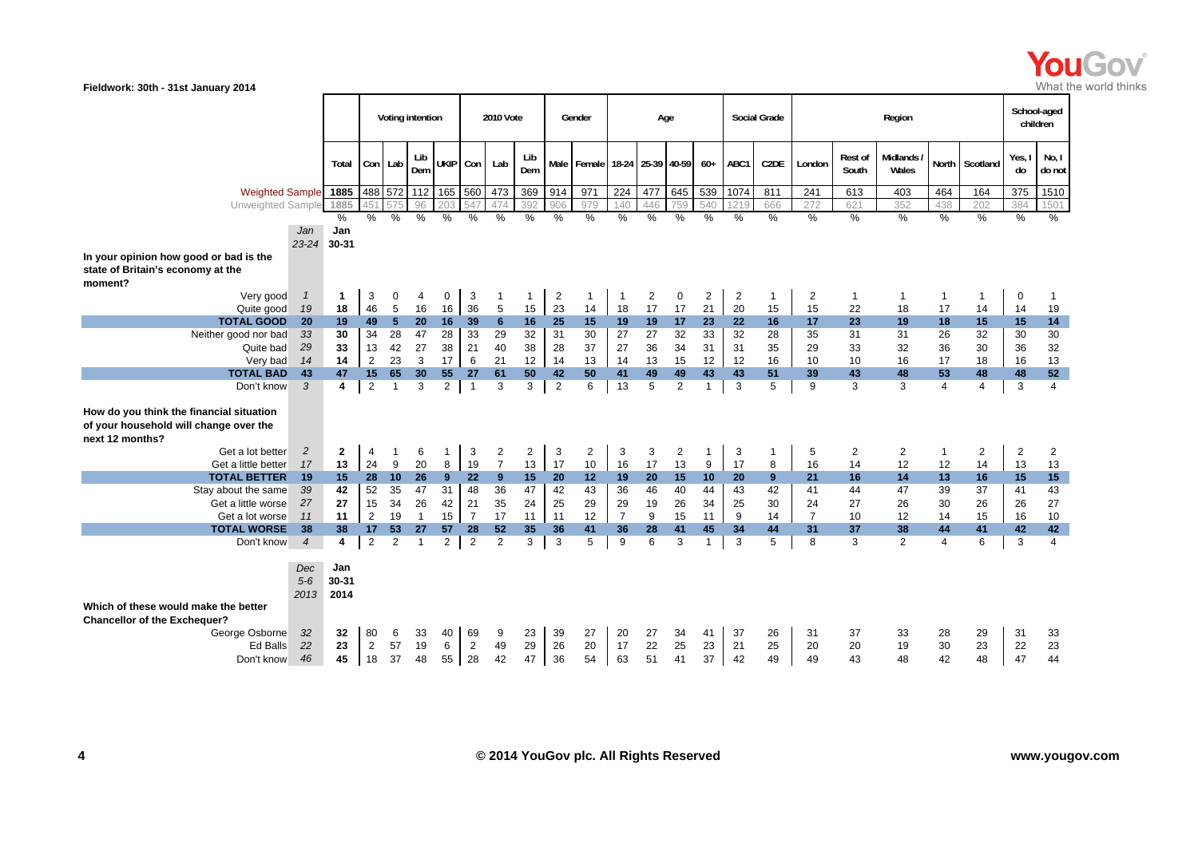

|                                                                                                       |                                |                         |                      |                | Voting intention |                |                      | 2010 Vote      |          |                | Gender     |                   | Age            |                |                |                   | <b>Social Grade</b> |                  |                    | Region         |                |                | School-aged     | children       |
|-------------------------------------------------------------------------------------------------------|--------------------------------|-------------------------|----------------------|----------------|------------------|----------------|----------------------|----------------|----------|----------------|------------|-------------------|----------------|----------------|----------------|-------------------|---------------------|------------------|--------------------|----------------|----------------|----------------|-----------------|----------------|
|                                                                                                       | Total                          |                         | Con Lab              | Lib<br>Dem     | <b>UKIP</b>      | Con            | Lab                  | Lib<br>Dem     |          | Male Female    |            | 18-24 25-39 40-59 |                | $60+$          | ABC1           | C <sub>2</sub> DE | London              | Rest of<br>South | Midlands/<br>Wales |                | North Scotland | Yes,<br>do     | No, I<br>do not |                |
|                                                                                                       | <b>Weighted Sample</b><br>1885 |                         |                      |                |                  |                |                      |                | 369      | 914            | 971        | 224               | 477            | 645            | 539            | 1074              | 811                 | 241              | 613                | 403            | 464            | 164            | 375             | 1510           |
| Unweighted Sample                                                                                     |                                | 1885                    |                      |                | 96               |                |                      | 474            | 392      | 906            | 979        | 140               | 446            | 759            | 540            |                   | 666                 | 272              | 621                | 352            | 438            | 202            | 384             | 1501           |
|                                                                                                       | Jan                            | %<br>Jan<br>23-24 30-31 | %                    | %              | %                | %              | %                    | %              | %        | %              | %          | $\%$              | $\frac{0}{0}$  | %              | %              | %                 | %                   | %                | $\frac{0}{0}$      | $\frac{0}{0}$  | %              | %              | $\%$            | $\%$           |
| In your opinion how good or bad is the                                                                |                                |                         |                      |                |                  |                |                      |                |          |                |            |                   |                |                |                |                   |                     |                  |                    |                |                |                |                 |                |
| state of Britain's economy at the<br>moment?                                                          |                                |                         |                      |                |                  |                |                      |                |          |                |            |                   |                |                |                |                   |                     |                  |                    |                |                |                |                 |                |
| Very good                                                                                             | $\mathbf{1}$                   | $\mathbf 1$             | 3                    | $\Omega$       | 4                | 0              | 3                    |                | 1        | $\overline{2}$ | 1          | $\overline{1}$    | $\overline{2}$ | $\mathbf 0$    | $\overline{2}$ | $\overline{2}$    | -1                  | 2                | $\mathbf{1}$       | $\overline{1}$ | $\mathbf{1}$   | $\mathbf{1}$   | 0               | 1              |
| Quite good                                                                                            | 19                             | 18                      | 46                   | 5              | 16               | 16             | 36                   | 5              | 15       | 23             | 14         | 18                | 17             | 17             | 21             | 20                | 15                  | 15               | 22                 | 18             | 17             | 14             | 14              | 19             |
| <b>TOTAL GOOD</b>                                                                                     | 20                             | 19                      | 49                   | 5 <sup>5</sup> | 20               | 16             | 39                   | 6              | 16       | 25             | 15         | 19                | 19             | 17             | 23             | 22                | 16                  | 17               | 23                 | 19             | 18             | 15             | 15              | $14$           |
| Neither good nor bad                                                                                  | 33                             | 30                      | 34                   | 28             | 47               | 28             | 33                   | 29             | 32       | 31             | 30         | 27                | 27             | 32             | 33             | 32                | 28                  | 35               | 31                 | 31             | 26             | 32             | 30              | $30\,$         |
| Quite bad                                                                                             | 29                             | 33                      | 13                   | 42             | 27               | 38             | 21                   | 40             | 38       | 28             | 37         | 27                | 36             | 34             | 31             | 31                | 35                  | 29               | 33                 | 32             | 36             | 30             | 36              | 32             |
| Very bad                                                                                              | 14                             | 14                      | 2                    | 23             | 3                | 17             | 6                    | 21             | 12       | 14             | 13         | 14                | 13             | 15             | 12             | 12                | 16                  | 10               | 10                 | 16             | 17             | 18             | 16              | 13             |
| <b>TOTAL BAD</b>                                                                                      | 43                             | 47                      | 15                   | 65             | 30               | 55             | 27                   | 61             | 50       | 42             | 50         | 41                | 49             | 49             | 43             | 43                | 51                  | 39               | 43                 | 48             | 53             | 48             | 48              | 52             |
| Don't know                                                                                            | 3                              | 4                       | $\overline{2}$       | $\overline{1}$ | 3                | $\overline{2}$ | $\overline{1}$       | 3              | 3        | $\overline{2}$ | 6          | 13                | 5              | 2              | $\mathbf 1$    | 3                 | 5                   | 9                | 3                  | 3              | $\overline{4}$ | $\overline{4}$ | 3               | $\overline{4}$ |
| How do you think the financial situation<br>of your household will change over the<br>next 12 months? |                                |                         |                      |                |                  |                |                      |                |          |                |            |                   |                |                |                |                   |                     |                  |                    |                |                |                |                 |                |
| Get a lot better                                                                                      | $\overline{c}$                 | $\mathbf{2}$<br>13      | 4<br>24              | 9              | 6<br>20          | 1<br>8         | 3<br>19              | $\overline{c}$ | 2        | 3              | $\sqrt{2}$ | 3                 | 3              | $\overline{2}$ | 1              | 3                 | 1                   | 5                | $\mathbf{2}$       | 2              | $\mathbf{1}$   | $\overline{2}$ | $\overline{c}$  | $\overline{2}$ |
|                                                                                                       | 17<br>Get a little better      |                         |                      |                |                  |                |                      | $\overline{7}$ | 13       | 17             | 10         | 16                | 17             | 13             | 9              | 17                | 8                   | 16               | 14                 | 12             | 12             | 14             | 13              | 13             |
|                                                                                                       | <b>TOTAL BETTER</b><br>19      |                         |                      |                |                  |                |                      | 9              | 15       | 20             | 12         | 19                | 20             | 15             | 10             | 20                | 9                   | 21               | 16                 | 14             | 13             | 16             | 15              | 15             |
|                                                                                                       | Stay about the same<br>39      |                         |                      |                |                  |                |                      | 36             | 47       | 42             | 43         | 36                | 46             | 40             | 44             | 43                | 42                  | 41               | 44                 | 47             | 39             | 37             | 41              | 43             |
|                                                                                                       | Get a little worse<br>27       |                         |                      |                |                  |                |                      | 35             | 24       | 25             | 29         | 29                | 19             | 26             | 34             | 25                | 30                  | 24               | 27                 | 26             | 30             | 26             | 26              | 27             |
|                                                                                                       | Get a lot worse<br>11          |                         |                      |                |                  |                |                      | 17             | 11       | 11             | 12         | $\overline{7}$    | 9              | 15             | 11             | 9                 | 14                  | $\overline{7}$   | 10                 | 12             | 14             | 15             | 16              | $10$           |
|                                                                                                       | <b>TOTAL WORSE</b><br>38       |                         |                      |                |                  |                |                      | 52<br>2        | 35       | 36             | 41         | 36                | 28             | 41             | 45             | 34                | 44                  | 31               | 37                 | 38             | 44             | 41             | 42              | 42             |
|                                                                                                       | Don't know<br>$\overline{4}$   |                         |                      |                |                  |                |                      |                | 3        | 3              | 5          | 9                 | 6              | 3              | $\mathbf{1}$   | 3                 | 5                   | 8                | 3                  | 2              | $\overline{4}$ | 6              | 3               | $\overline{4}$ |
|                                                                                                       | Jan<br>30-31<br>2014           |                         |                      |                |                  |                |                      |                |          |                |            |                   |                |                |                |                   |                     |                  |                    |                |                |                |                 |                |
| Which of these would make the better                                                                  |                                |                         |                      |                |                  |                |                      |                |          |                |            |                   |                |                |                |                   |                     |                  |                    |                |                |                |                 |                |
| <b>Chancellor of the Exchequer?</b>                                                                   |                                |                         |                      |                |                  |                |                      |                |          |                |            |                   |                |                |                |                   |                     |                  |                    |                |                |                |                 |                |
| George Osborne                                                                                        | 32                             | 32                      | 80                   | 6              | 33               | 40             | 69                   | 9              | 23       | 39             | 27         | 20                | 27             | 34             | 41             | 37                | 26                  | 31               | 37                 | 33             | 28             | 29             | 31              | 33             |
| Ed Balls                                                                                              | 22<br>46                       | 23<br>45                | $\overline{2}$<br>18 | 57<br>37       | 19<br>48         | 6<br>55        | $\overline{2}$<br>28 | 49<br>42       | 29<br>47 | 26<br>36       | 20<br>54   | 17<br>63          | 22<br>51       | 25<br>41       | 23<br>37       | 21<br>42          | 25<br>49            | 20<br>49         | 20<br>43           | 19<br>48       | 30<br>42       | 23<br>48       | 22<br>47        | 23<br>44       |
| Don't know                                                                                            |                                |                         |                      |                |                  |                |                      |                |          |                |            |                   |                |                |                |                   |                     |                  |                    |                |                |                |                 |                |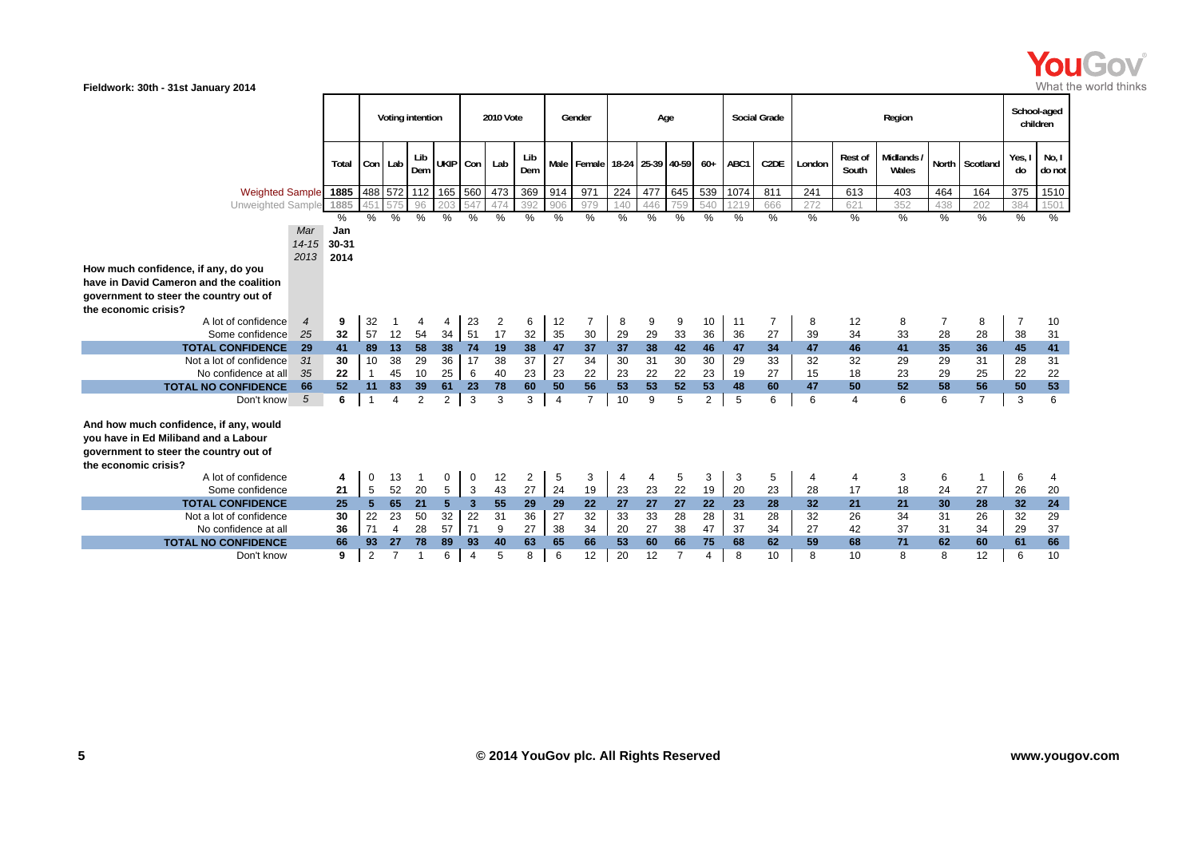

**Fieldwork: 30th - 31st January 2014 Total Con Lab Lib Dem UKIP Con Lab Lib Dem**b Male Female 18-24 25-39 40-59 60+ ABC1 C2DE London Rest of Midlands / North Scotland Yes, I No, I Mo, I Weighted Sample**| 1885 |**488 572 | 112 | 165 | 560 | 473 | 369 | 914 | 971 | 224 | 477 | 645 | 539 | 1074 | 811 | 241 | 613 | 403 | 464 | 164 | 375 | 1510 Unweighted Sample **1885** 451 575 96 203 547 474 392 906 979 140 446 759 540 1219 666 272 621 352 438 202 384 1501 % %%% % % % % % % % % % % % % % % % % % % %Voting intention **1986** 2010 Vote Gender Age Social Grade Region Region Region Region Region **2010 Vote Gender Age Social Grade Region** *Mar 14-15* **30-31** *2013***2014Jan How much confidence, if any, do you have in David Cameron and the coalition government to steer the country out of the economic crisis?** A lot of confidence *4* **9** 32 1 4 4 23 2 6 12 7 8 9 9 10 11 7 8 12 8 7 8 7 10 Some confidence *25* **32** 57 12 54 34 51 17 32 35 30 29 29 33 36 36 27 39 34 33 28 28 38 31 **TOTAL CONFIDENCE**E 29 41 89 13 58 38 74 19 38 47 37 37 38 42 46 47 34 47 46 41 35 36 45 41 Not a lot of confidence *31* **30** 10 38 29 36 17 38 37 27 34 30 31 30 30 29 33 32 32 29 29 31 28 31 No confidence at all *35* **22** 1 45 10 25 6 40 23 23 22 23 22 22 23 19 27 15 18 23 29 25 22 22 **TOTAL NO CONFIDENCE**E 66 52 11 83 39 61 23 78 60 50 56 53 53 52 53 48 60 47 50 52 58 56 50 53 Don't know 5 *5* **6** 1 4 2 2 3 3 3 4 7 10 9 5 2 5 6 6 4 6 6 7 3 6 **And how much confidence, if any, would you have in Ed Miliband and a Labour government to steer the country out of the economic crisis?**A lot of confidence **4** 0 13 1 0 0 12 2 5 3 4 4 5 3 3 5 4 4 3 6 1 6 4 Some confidence **21** 5 52 20 5 3 43 27 24 19 23 23 22 19 20 23 28 17 18 24 27 26 20 **TOTAL CONFIDENCE**E 25 5 65 21 5 3 55 29 29 22 27 27 27 22 23 28 32 21 30 28 32 24 Not a lot of confidence**30** 22 23 50 32 22 31 36 27 32 33 33 28 28 31 28 32 26 34 31 26 32 29

71 4 28 57 71 9 27 38 34 20 27 38 47 37 34 27 42 37 31 34 29 37

E 66 93 27 78 89 93 40 63 66 66 53 60 66 75 68 69 68 71 62 60 61 66

**9** 2 7 1 6 4 5 8 6 12 20 12 7 4 8 10 8 10 8 8 12 6 10

No confidence at all

Don't know

**TOTAL NO CONFIDENCE**

**36**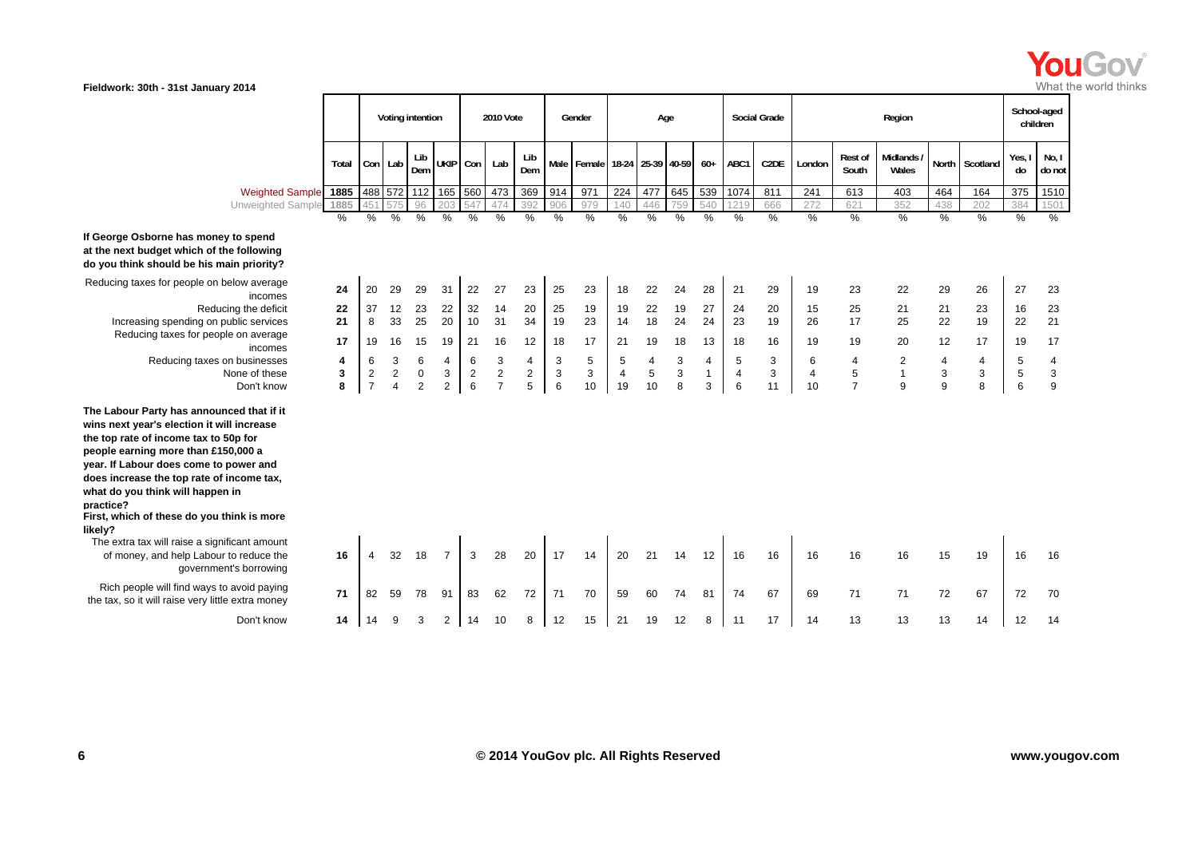

| No, I<br>Midlands /<br>Yes, I<br>Lib<br>Lib<br><b>Rest of</b><br>UKIP Con<br>ABC1<br>North Scotland<br>Con Lab<br>Lab<br>Male Female 18-24 25-39 40-59<br>$60+$<br>C <sub>2</sub> DE<br>London<br>Total<br>Dem<br>Dem<br>South<br>Wales<br>do<br>do not<br>488 572 112 165 560<br>369<br>971<br>645<br>539<br>1074<br>473<br>914<br>224<br>477<br>811<br>613<br>164<br>375<br>1510<br>1885<br>241<br>403<br>464<br><b>Weighted Sample</b><br>Unweighted Sample<br>1885<br>96<br>392<br>621<br>474<br>979<br>540<br>1219<br>666<br>352<br>384<br>547<br>906<br>140<br>446<br>438<br>202<br>1501<br>45<br>759<br>272<br>$\frac{0}{0}$<br>$\frac{0}{0}$<br>$\frac{0}{0}$<br>$\frac{0}{0}$<br>$\%$<br>$\%$<br>%<br>%<br>%<br>$\frac{0}{0}$<br>%<br>%<br>$\%$<br>%<br>%<br>%<br>%<br>%<br>$\%$<br>%<br>$\%$<br>%<br>$\%$<br>29<br>29<br>22<br>27<br>23<br>25<br>23<br>18<br>22<br>24<br>28<br>21<br>29<br>23<br>22<br>29<br>26<br>27<br>23<br>24<br>20<br>31<br>19<br>incomes<br>32<br>22<br>19<br>27<br>Reducing the deficit<br>37<br>12<br>23<br>22<br>14<br>20<br>25<br>19<br>19<br>24<br>20<br>25<br>21<br>23<br>23<br>22<br>15<br>21<br>16<br>18<br>25<br>20<br>$10\,$<br>31<br>24<br>24<br>21<br>21<br>33<br>34<br>19<br>23<br>14<br>23<br>19<br>17<br>25<br>22<br>19<br>Increasing spending on public services<br>8<br>26<br>22<br>Reducing taxes for people on average<br>19<br>18<br>17<br>17<br>19<br>16<br>15<br>19<br>21<br>16<br>12<br>17<br>13<br>18<br>16<br>19<br>20<br>17<br>18<br>21<br>19<br>12<br>19<br>incomes<br>5<br>3<br>3<br>4<br>6<br>3<br>6<br>6<br>3<br>3<br>5<br>5<br>6<br>$\overline{4}$<br>$\overline{2}$<br>$\overline{4}$<br>5<br>Reducing taxes on businesses<br>4<br>4<br>4<br>4<br>4<br>4<br>$\sqrt{2}$<br>$\boldsymbol{2}$<br>$\mathbf{3}$<br>5<br>$\sqrt{3}$<br>$\,$ 5 $\,$<br>3<br>$\overline{c}$<br>$\boldsymbol{2}$<br>$\overline{\mathbf{c}}$<br>$\mathbf{1}$<br>3<br>$\mathbf{1}$<br>3<br>$\sqrt{5}$<br>3<br>None of these<br>0<br>3<br>3<br>$\overline{4}$<br>4<br>3<br>$\overline{4}$<br>5<br>8<br>$\overline{7}$<br>8<br>9<br>$\overline{7}$<br>6<br>$\overline{7}$<br>10<br>10<br>3<br>6<br>11<br>9<br>6<br>8<br>$\overline{2}$<br>$\mathbf{2}$<br>6<br>19<br>10<br>$\boldsymbol{\Delta}$<br>9<br>Don't know<br>The extra tax will raise a significant amount<br>32<br>3<br>28<br>20<br>17<br>21<br>12<br>16<br>16<br>16<br>16<br>15<br>16<br>of money, and help Labour to reduce the<br>16<br>18<br>14<br>20<br>14<br>16<br>19<br>16<br>4<br>government's borrowing<br>Rich people will find ways to avoid paying<br>71<br>72<br>70<br>67<br>71<br>71<br>67<br>59<br>78<br>91<br>83<br>62<br>59<br>60<br>74<br>81<br>74<br>72<br>72<br>70<br>82<br>71<br>69<br>12<br>13<br>13<br>Don't know<br>$\overline{2}$<br>14<br>10<br>12<br>15<br>21<br>11<br>17<br>13<br>14<br>3<br>8<br>19<br>8<br>14<br>14<br>12<br>14<br>14<br>9 |                                                                                                                                                                                                                                                                                                                                                                  | Voting intention |  |  |  |  |  | 2010 Vote | Gender | Age |  | <b>Social Grade</b> |  | Region |  | School-aged<br>children |  |
|------------------------------------------------------------------------------------------------------------------------------------------------------------------------------------------------------------------------------------------------------------------------------------------------------------------------------------------------------------------------------------------------------------------------------------------------------------------------------------------------------------------------------------------------------------------------------------------------------------------------------------------------------------------------------------------------------------------------------------------------------------------------------------------------------------------------------------------------------------------------------------------------------------------------------------------------------------------------------------------------------------------------------------------------------------------------------------------------------------------------------------------------------------------------------------------------------------------------------------------------------------------------------------------------------------------------------------------------------------------------------------------------------------------------------------------------------------------------------------------------------------------------------------------------------------------------------------------------------------------------------------------------------------------------------------------------------------------------------------------------------------------------------------------------------------------------------------------------------------------------------------------------------------------------------------------------------------------------------------------------------------------------------------------------------------------------------------------------------------------------------------------------------------------------------------------------------------------------------------------------------------------------------------------------------------------------------------------------------------------------------------------------------------------------------------------------------------------------------------------------------------------------------------------------------------------------------------------------------------------------------------------------------------------------------------------------------------------------------------------------------------------------------------------------------------------------------------------------------------------------|------------------------------------------------------------------------------------------------------------------------------------------------------------------------------------------------------------------------------------------------------------------------------------------------------------------------------------------------------------------|------------------|--|--|--|--|--|-----------|--------|-----|--|---------------------|--|--------|--|-------------------------|--|
|                                                                                                                                                                                                                                                                                                                                                                                                                                                                                                                                                                                                                                                                                                                                                                                                                                                                                                                                                                                                                                                                                                                                                                                                                                                                                                                                                                                                                                                                                                                                                                                                                                                                                                                                                                                                                                                                                                                                                                                                                                                                                                                                                                                                                                                                                                                                                                                                                                                                                                                                                                                                                                                                                                                                                                                                                                                                        |                                                                                                                                                                                                                                                                                                                                                                  |                  |  |  |  |  |  |           |        |     |  |                     |  |        |  |                         |  |
|                                                                                                                                                                                                                                                                                                                                                                                                                                                                                                                                                                                                                                                                                                                                                                                                                                                                                                                                                                                                                                                                                                                                                                                                                                                                                                                                                                                                                                                                                                                                                                                                                                                                                                                                                                                                                                                                                                                                                                                                                                                                                                                                                                                                                                                                                                                                                                                                                                                                                                                                                                                                                                                                                                                                                                                                                                                                        |                                                                                                                                                                                                                                                                                                                                                                  |                  |  |  |  |  |  |           |        |     |  |                     |  |        |  |                         |  |
|                                                                                                                                                                                                                                                                                                                                                                                                                                                                                                                                                                                                                                                                                                                                                                                                                                                                                                                                                                                                                                                                                                                                                                                                                                                                                                                                                                                                                                                                                                                                                                                                                                                                                                                                                                                                                                                                                                                                                                                                                                                                                                                                                                                                                                                                                                                                                                                                                                                                                                                                                                                                                                                                                                                                                                                                                                                                        |                                                                                                                                                                                                                                                                                                                                                                  |                  |  |  |  |  |  |           |        |     |  |                     |  |        |  |                         |  |
|                                                                                                                                                                                                                                                                                                                                                                                                                                                                                                                                                                                                                                                                                                                                                                                                                                                                                                                                                                                                                                                                                                                                                                                                                                                                                                                                                                                                                                                                                                                                                                                                                                                                                                                                                                                                                                                                                                                                                                                                                                                                                                                                                                                                                                                                                                                                                                                                                                                                                                                                                                                                                                                                                                                                                                                                                                                                        |                                                                                                                                                                                                                                                                                                                                                                  |                  |  |  |  |  |  |           |        |     |  |                     |  |        |  |                         |  |
|                                                                                                                                                                                                                                                                                                                                                                                                                                                                                                                                                                                                                                                                                                                                                                                                                                                                                                                                                                                                                                                                                                                                                                                                                                                                                                                                                                                                                                                                                                                                                                                                                                                                                                                                                                                                                                                                                                                                                                                                                                                                                                                                                                                                                                                                                                                                                                                                                                                                                                                                                                                                                                                                                                                                                                                                                                                                        | George Osborne has money to spend<br>t the next budget which of the following<br>lo you think should be his main priority?                                                                                                                                                                                                                                       |                  |  |  |  |  |  |           |        |     |  |                     |  |        |  |                         |  |
|                                                                                                                                                                                                                                                                                                                                                                                                                                                                                                                                                                                                                                                                                                                                                                                                                                                                                                                                                                                                                                                                                                                                                                                                                                                                                                                                                                                                                                                                                                                                                                                                                                                                                                                                                                                                                                                                                                                                                                                                                                                                                                                                                                                                                                                                                                                                                                                                                                                                                                                                                                                                                                                                                                                                                                                                                                                                        | Reducing taxes for people on below average                                                                                                                                                                                                                                                                                                                       |                  |  |  |  |  |  |           |        |     |  |                     |  |        |  |                         |  |
|                                                                                                                                                                                                                                                                                                                                                                                                                                                                                                                                                                                                                                                                                                                                                                                                                                                                                                                                                                                                                                                                                                                                                                                                                                                                                                                                                                                                                                                                                                                                                                                                                                                                                                                                                                                                                                                                                                                                                                                                                                                                                                                                                                                                                                                                                                                                                                                                                                                                                                                                                                                                                                                                                                                                                                                                                                                                        |                                                                                                                                                                                                                                                                                                                                                                  |                  |  |  |  |  |  |           |        |     |  |                     |  |        |  |                         |  |
|                                                                                                                                                                                                                                                                                                                                                                                                                                                                                                                                                                                                                                                                                                                                                                                                                                                                                                                                                                                                                                                                                                                                                                                                                                                                                                                                                                                                                                                                                                                                                                                                                                                                                                                                                                                                                                                                                                                                                                                                                                                                                                                                                                                                                                                                                                                                                                                                                                                                                                                                                                                                                                                                                                                                                                                                                                                                        |                                                                                                                                                                                                                                                                                                                                                                  |                  |  |  |  |  |  |           |        |     |  |                     |  |        |  |                         |  |
|                                                                                                                                                                                                                                                                                                                                                                                                                                                                                                                                                                                                                                                                                                                                                                                                                                                                                                                                                                                                                                                                                                                                                                                                                                                                                                                                                                                                                                                                                                                                                                                                                                                                                                                                                                                                                                                                                                                                                                                                                                                                                                                                                                                                                                                                                                                                                                                                                                                                                                                                                                                                                                                                                                                                                                                                                                                                        |                                                                                                                                                                                                                                                                                                                                                                  |                  |  |  |  |  |  |           |        |     |  |                     |  |        |  |                         |  |
|                                                                                                                                                                                                                                                                                                                                                                                                                                                                                                                                                                                                                                                                                                                                                                                                                                                                                                                                                                                                                                                                                                                                                                                                                                                                                                                                                                                                                                                                                                                                                                                                                                                                                                                                                                                                                                                                                                                                                                                                                                                                                                                                                                                                                                                                                                                                                                                                                                                                                                                                                                                                                                                                                                                                                                                                                                                                        |                                                                                                                                                                                                                                                                                                                                                                  |                  |  |  |  |  |  |           |        |     |  |                     |  |        |  |                         |  |
|                                                                                                                                                                                                                                                                                                                                                                                                                                                                                                                                                                                                                                                                                                                                                                                                                                                                                                                                                                                                                                                                                                                                                                                                                                                                                                                                                                                                                                                                                                                                                                                                                                                                                                                                                                                                                                                                                                                                                                                                                                                                                                                                                                                                                                                                                                                                                                                                                                                                                                                                                                                                                                                                                                                                                                                                                                                                        |                                                                                                                                                                                                                                                                                                                                                                  |                  |  |  |  |  |  |           |        |     |  |                     |  |        |  |                         |  |
|                                                                                                                                                                                                                                                                                                                                                                                                                                                                                                                                                                                                                                                                                                                                                                                                                                                                                                                                                                                                                                                                                                                                                                                                                                                                                                                                                                                                                                                                                                                                                                                                                                                                                                                                                                                                                                                                                                                                                                                                                                                                                                                                                                                                                                                                                                                                                                                                                                                                                                                                                                                                                                                                                                                                                                                                                                                                        |                                                                                                                                                                                                                                                                                                                                                                  |                  |  |  |  |  |  |           |        |     |  |                     |  |        |  |                         |  |
|                                                                                                                                                                                                                                                                                                                                                                                                                                                                                                                                                                                                                                                                                                                                                                                                                                                                                                                                                                                                                                                                                                                                                                                                                                                                                                                                                                                                                                                                                                                                                                                                                                                                                                                                                                                                                                                                                                                                                                                                                                                                                                                                                                                                                                                                                                                                                                                                                                                                                                                                                                                                                                                                                                                                                                                                                                                                        | he Labour Party has announced that if it<br>vins next year's election it will increase<br>he top rate of income tax to 50p for<br>eople earning more than £150,000 a<br>ear. If Labour does come to power and<br>loes increase the top rate of income tax,<br>what do you think will happen in<br>ractice?<br>irst, which of these do you think is more<br>kely? |                  |  |  |  |  |  |           |        |     |  |                     |  |        |  |                         |  |
|                                                                                                                                                                                                                                                                                                                                                                                                                                                                                                                                                                                                                                                                                                                                                                                                                                                                                                                                                                                                                                                                                                                                                                                                                                                                                                                                                                                                                                                                                                                                                                                                                                                                                                                                                                                                                                                                                                                                                                                                                                                                                                                                                                                                                                                                                                                                                                                                                                                                                                                                                                                                                                                                                                                                                                                                                                                                        |                                                                                                                                                                                                                                                                                                                                                                  |                  |  |  |  |  |  |           |        |     |  |                     |  |        |  |                         |  |
|                                                                                                                                                                                                                                                                                                                                                                                                                                                                                                                                                                                                                                                                                                                                                                                                                                                                                                                                                                                                                                                                                                                                                                                                                                                                                                                                                                                                                                                                                                                                                                                                                                                                                                                                                                                                                                                                                                                                                                                                                                                                                                                                                                                                                                                                                                                                                                                                                                                                                                                                                                                                                                                                                                                                                                                                                                                                        | the tax, so it will raise very little extra money                                                                                                                                                                                                                                                                                                                |                  |  |  |  |  |  |           |        |     |  |                     |  |        |  |                         |  |
|                                                                                                                                                                                                                                                                                                                                                                                                                                                                                                                                                                                                                                                                                                                                                                                                                                                                                                                                                                                                                                                                                                                                                                                                                                                                                                                                                                                                                                                                                                                                                                                                                                                                                                                                                                                                                                                                                                                                                                                                                                                                                                                                                                                                                                                                                                                                                                                                                                                                                                                                                                                                                                                                                                                                                                                                                                                                        |                                                                                                                                                                                                                                                                                                                                                                  |                  |  |  |  |  |  |           |        |     |  |                     |  |        |  |                         |  |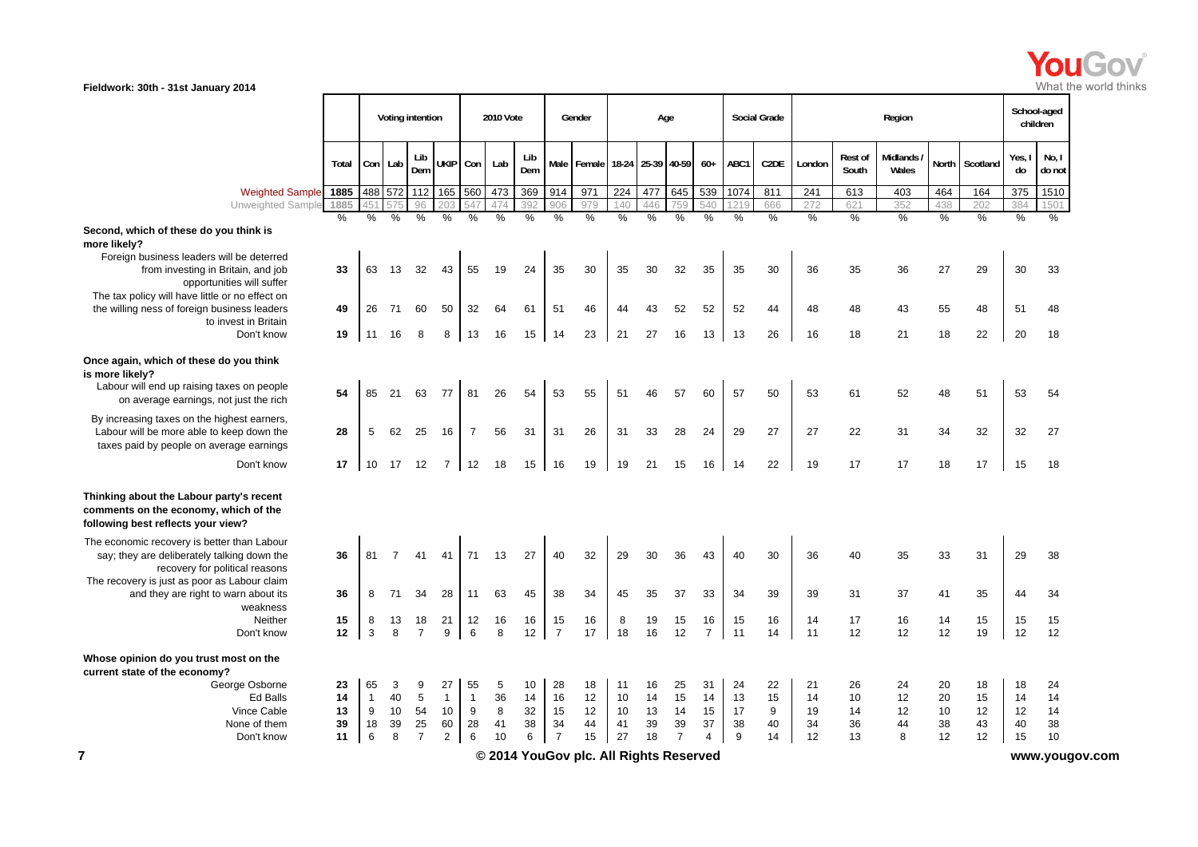

|                                                                                                                                      |           |                |                | Voting intention    |                |                      | 2010 Vote            |            |                | Gender                                 |          |                      | Age            |                |                      | Social Grade      |             |                  | Region               |          |                      | School-aged<br>children |                 |
|--------------------------------------------------------------------------------------------------------------------------------------|-----------|----------------|----------------|---------------------|----------------|----------------------|----------------------|------------|----------------|----------------------------------------|----------|----------------------|----------------|----------------|----------------------|-------------------|-------------|------------------|----------------------|----------|----------------------|-------------------------|-----------------|
|                                                                                                                                      | Total     |                | Con Lab        | Lib<br>Dem          | <b>UKIP</b>    | Con                  | Lab                  | Lib<br>Dem | <b>Male</b>    | Female                                 |          | 18-24 25-39 40-59    |                | $60+$          | ABC1                 | C <sub>2</sub> DE | London      | Rest of<br>South | Midlands<br>Wales    | North    | Scotland             | Yes, I<br>do            | No, I<br>do not |
| <b>Weighted Sample</b>                                                                                                               | 1885      |                | 488 572        | 112                 | 165            | 560                  | 473                  | 369        | 914            | 971                                    | 224      | 477                  | 645            | 539            | 1074                 | 811               | 241         | 613              | 403                  | 464      | 164                  | 375                     | 1510            |
| <b>Unweighted Sample</b>                                                                                                             | 1885<br>% | 451<br>%       | $\frac{0}{6}$  | 96<br>$\frac{0}{0}$ | 20:<br>$\%$    | 547<br>$\frac{0}{0}$ | 474<br>$\frac{9}{6}$ | 392<br>%   | 906<br>%       | 979<br>$\frac{0}{0}$                   | 140<br>% | 446<br>$\frac{0}{6}$ | 759<br>%       | 540<br>%       | 121<br>$\frac{0}{6}$ | 666<br>%          | 272<br>$\%$ | 621<br>%         | 352<br>$\frac{9}{6}$ | 438<br>% | 202<br>$\frac{0}{6}$ | 384<br>$\%$             | 1501<br>%       |
| Second, which of these do you think is<br>more likely?                                                                               |           |                |                |                     |                |                      |                      |            |                |                                        |          |                      |                |                |                      |                   |             |                  |                      |          |                      |                         |                 |
| Foreign business leaders will be deterred<br>from investing in Britain, and job<br>opportunities will suffer                         | 33        | 63             | 13             | 32                  | 43             | 55                   | 19                   | 24         | 35             | 30                                     | 35       | 30                   | 32             | 35             | 35                   | 30                | 36          | 35               | 36                   | 27       | 29                   | 30                      | 33              |
| The tax policy will have little or no effect on<br>the willing ness of foreign business leaders                                      | 49        | 26             | 71             | 60                  | 50             | 32                   | 64                   | 61         | 51             | 46                                     | 44       | 43                   | 52             | 52             | 52                   | 44                | 48          | 48               | 43                   | 55       | 48                   | 51                      | 48              |
| to invest in Britain<br>Don't know                                                                                                   | 19        | 11             | 16             | 8                   | 8              | 13                   | 16                   | 15         | 14             | 23                                     | 21       | 27                   | 16             | 13             | 13                   | 26                | 16          | 18               | 21                   | 18       | 22                   | 20                      | 18              |
| Once again, which of these do you think<br>is more likely?<br>Labour will end up raising taxes on people                             |           |                |                |                     |                |                      |                      |            |                |                                        |          |                      |                |                |                      |                   |             |                  |                      |          |                      |                         |                 |
| on average earnings, not just the rich                                                                                               | 54        | 85             | 21             | 63                  | 77             | 81                   | 26                   | 54         | 53             | 55                                     | 51       | 46                   | 57             | 60             | 57                   | 50                | 53          | 61               | 52                   | 48       | 51                   | 53                      | 54              |
| By increasing taxes on the highest earners,<br>Labour will be more able to keep down the<br>taxes paid by people on average earnings | 28        | 5              | 62             | 25                  | 16             | $\overline{7}$       | 56                   | 31         | 31             | 26                                     | 31       | 33                   | 28             | 24             | 29                   | 27                | 27          | 22               | 31                   | 34       | 32                   | 32                      | 27              |
| Don't know                                                                                                                           | 17        | 10             | 17 12          |                     | 7 I            | 12                   | 18                   | 15         | 16             | 19                                     | 19       | 21                   | 15             | 16             | 14                   | 22                | 19          | 17               | 17                   | 18       | 17                   | 15                      | 18              |
| Thinking about the Labour party's recent<br>comments on the economy, which of the<br>following best reflects your view?              |           |                |                |                     |                |                      |                      |            |                |                                        |          |                      |                |                |                      |                   |             |                  |                      |          |                      |                         |                 |
| The economic recovery is better than Labour<br>say; they are deliberately talking down the<br>recovery for political reasons         | 36        | 81             | $\overline{7}$ | 41                  | 41             | 71                   | 13                   | 27         | 40             | 32                                     | 29       | 30                   | 36             | 43             | 40                   | 30                | 36          | 40               | 35                   | 33       | 31                   | 29                      | 38              |
| The recovery is just as poor as Labour claim<br>and they are right to warn about its<br>weakness                                     | 36        | 8              | 71             | 34                  | 28             | 11                   | 63                   | 45         | 38             | 34                                     | 45       | 35                   | 37             | 33             | 34                   | 39                | 39          | 31               | 37                   | 41       | 35                   | 44                      | 34              |
| Neither                                                                                                                              | 15        | 8              | 13             | 18                  | 21             | 12                   | 16                   | 16         | 15             | 16                                     | 8        | 19                   | 15             | 16             | 15                   | 16                | 14          | 17               | 16                   | 14       | 15                   | 15                      | 15              |
| Don't know                                                                                                                           | 12        | $\mathbf{3}$   | 8              | $\overline{7}$      | 9              | 6                    | 8                    | 12         | $\overline{7}$ | 17                                     | 18       | 16                   | 12             | $\overline{7}$ | 11                   | 14                | 11          | 12               | 12                   | 12       | 19                   | 12                      | 12              |
| Whose opinion do you trust most on the<br>current state of the economy?                                                              |           |                |                |                     |                |                      |                      |            |                |                                        |          |                      |                |                |                      |                   |             |                  |                      |          |                      |                         |                 |
| George Osborne                                                                                                                       | 23        | 65             | 3              | 9                   | 27             | 55                   | $\sqrt{5}$           | 10         | 28             | 18                                     | 11       | 16                   | 25             | 31             | 24                   | 22                | 21          | 26               | 24                   | 20       | 18                   | 18                      | 24              |
| Ed Balls                                                                                                                             | 14        | $\overline{1}$ | 40             | 5                   | $\mathbf{1}$   | $\overline{1}$       | 36                   | 14         | 16             | 12                                     | 10       | 14                   | 15             | 14             | 13                   | 15                | 14          | 10               | 12                   | 20       | 15                   | 14                      | 14              |
| Vince Cable<br>None of them                                                                                                          | 13<br>39  | 9<br>18        | 10<br>39       | 54<br>25            | 10<br>60       | 9<br>28              | 8<br>41              | 32<br>38   | 15<br>34       | 12<br>44                               | 10<br>41 | 13<br>39             | 14<br>39       | 15<br>37       | 17<br>38             | 9<br>40           | 19<br>34    | 14<br>36         | 12<br>44             | 10<br>38 | 12<br>43             | 12<br>40                | 14<br>38        |
| Don't know                                                                                                                           | 11        | 6              | 8              | $\overline{7}$      | $\overline{2}$ | 6                    | 10                   | 6          | $\overline{7}$ | 15                                     | 27       | 18                   | $\overline{7}$ | $\overline{4}$ | 9                    | 14                | 12          | 13               | 8                    | 12       | 12                   | 15                      | 10              |
| 7                                                                                                                                    |           |                |                |                     |                |                      |                      |            |                | © 2014 YouGov plc. All Rights Reserved |          |                      |                |                |                      |                   |             |                  |                      |          |                      |                         | www.yougov.com  |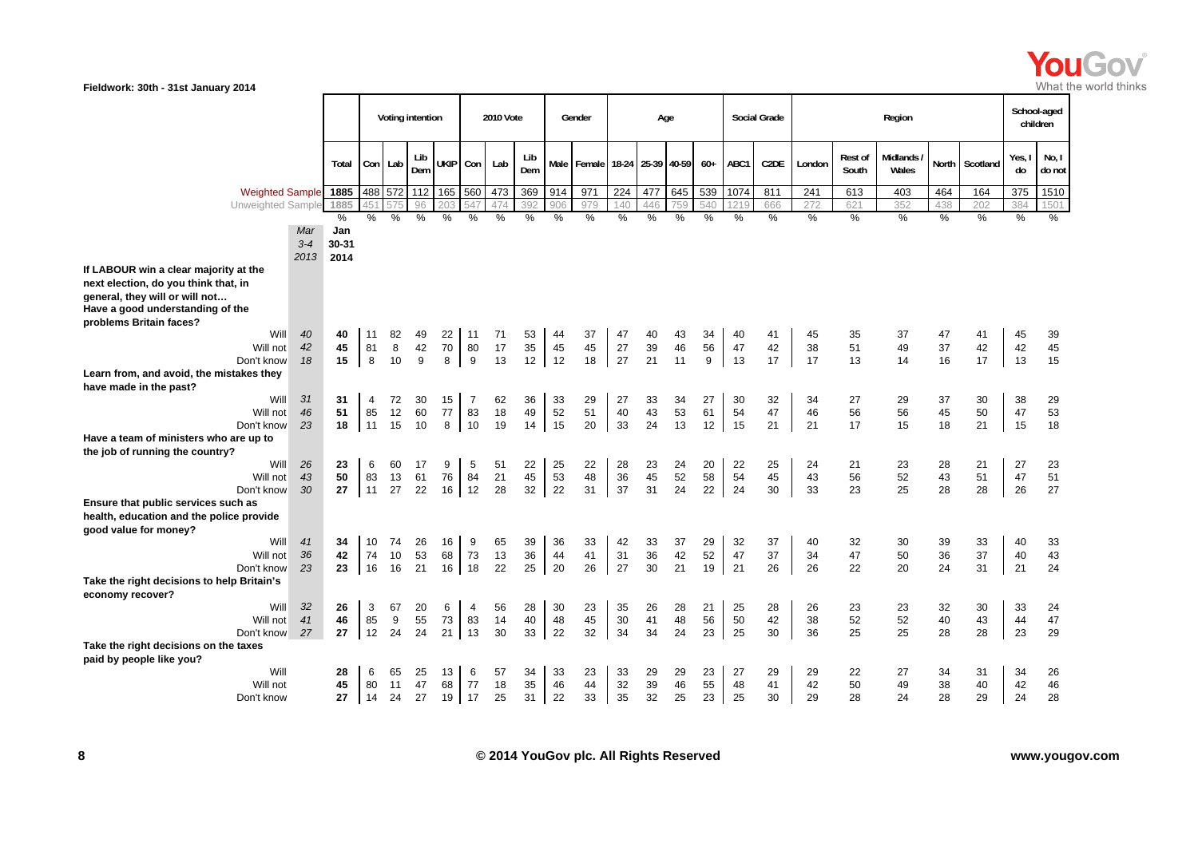

|                                                                                                                                                                                |                |                      |                | Voting intention |                |                |                            | 2010 Vote      |                |                | Gender            |                | Age            |                |                |                | <b>Social Grade</b> |                |                  | Region            |                |                | children       | School-aged        |
|--------------------------------------------------------------------------------------------------------------------------------------------------------------------------------|----------------|----------------------|----------------|------------------|----------------|----------------|----------------------------|----------------|----------------|----------------|-------------------|----------------|----------------|----------------|----------------|----------------|---------------------|----------------|------------------|-------------------|----------------|----------------|----------------|--------------------|
|                                                                                                                                                                                |                | Total                | Con Lab        |                  | Lib<br>Dem     | UKIP Con       |                            | Lab            | Lib<br>Dem     |                | Male Female 18-24 |                | 25-39 40-59    |                | $60+$          | ABC1           | C <sub>2</sub> DE   | London         | Rest of<br>South | Midlands<br>Wales | North          | Scotland       | Yes,<br>do     | No, I<br>do not    |
| <b>Weighted Sample</b>                                                                                                                                                         |                | 1885                 |                | 488 572          | 112            | 165 560        |                            | 473            | 369            | 914            | 971               | 224            | 477            | 645            | 539            | 1074           | 811                 | 241            | 613              | 403               | 464            | 164            | 375            | 1510               |
| Unweighted Sample                                                                                                                                                              |                | 1885                 | 45             |                  | 96             | 203            |                            | 474            | 392            |                | 979               | 140            | 446            | 59             | 540            |                | 666                 | 272            | 621              | 352               | 438            | 202            | 384            | 1501               |
|                                                                                                                                                                                | Mar<br>$3 - 4$ | $\%$<br>Jan<br>30-31 | $\frac{0}{0}$  | %                | %              | %              | $\%$                       | %              | $\%$           | $\%$           | %                 | %              | %              | $\%$           | $\%$           | %              | $\%$                | $\%$           | $\%$             | %                 | $\frac{0}{0}$  | $\%$           | $\%$           | $\%$               |
|                                                                                                                                                                                | 2013           | 2014                 |                |                  |                |                |                            |                |                |                |                   |                |                |                |                |                |                     |                |                  |                   |                |                |                |                    |
| If LABOUR win a clear majority at the<br>next election, do you think that, in<br>general, they will or will not<br>Have a good understanding of the<br>problems Britain faces? |                |                      |                |                  |                |                |                            |                |                |                |                   |                |                |                |                |                |                     |                |                  |                   |                |                |                |                    |
| Will<br>Will not<br>Don't know                                                                                                                                                 | 40<br>42<br>18 | 40<br>45<br>15       | 11<br>81<br>8  | 82<br>8<br>10    | 49<br>42<br>9  | 22<br>70<br>8  | 11<br>80<br>9              | 71<br>17<br>13 | 53<br>35<br>12 | 44<br>45<br>12 | 37<br>45<br>18    | 47<br>27<br>27 | 40<br>39<br>21 | 43<br>46<br>11 | 34<br>56<br>9  | 40<br>47<br>13 | 41<br>42<br>17      | 45<br>38<br>17 | 35<br>51<br>13   | 37<br>49<br>14    | 47<br>37<br>16 | 41<br>42<br>17 | 45<br>42<br>13 | 39<br>45<br>15     |
| Learn from, and avoid, the mistakes they<br>have made in the past?                                                                                                             | 31             |                      |                |                  |                |                |                            |                |                |                |                   |                |                |                |                |                |                     |                |                  |                   |                |                |                |                    |
| Will<br>Will not<br>Don't know                                                                                                                                                 | 46<br>23       | 31<br>51<br>18       | 4<br>85<br>11  | 72<br>12<br>15   | 30<br>60<br>10 | 15<br>77<br>8  | 7<br>83<br>10              | 62<br>18<br>19 | 36<br>49<br>14 | 33<br>52<br>15 | 29<br>51<br>20    | 27<br>40<br>33 | 33<br>43<br>24 | 34<br>53<br>13 | 27<br>61<br>12 | 30<br>54<br>15 | 32<br>47<br>21      | 34<br>46<br>21 | 27<br>56<br>17   | 29<br>56<br>15    | 37<br>45<br>18 | 30<br>50<br>21 | 38<br>47<br>15 | 29<br>53<br>18     |
| Have a team of ministers who are up to<br>the job of running the country?                                                                                                      |                |                      |                |                  |                |                |                            |                |                |                |                   |                |                |                |                |                |                     |                |                  |                   |                |                |                |                    |
| Will<br>Will not<br>Don't know                                                                                                                                                 | 26<br>43<br>30 | 23<br>50<br>27       | 6<br>83<br>11  | 60<br>13<br>27   | 17<br>61<br>22 | 9<br>76<br>16  | 5<br>84<br>12              | 51<br>21<br>28 | 22<br>45<br>32 | 25<br>53<br>22 | 22<br>48<br>31    | 28<br>36<br>37 | 23<br>45<br>31 | 24<br>52<br>24 | 20<br>58<br>22 | 22<br>54<br>24 | 25<br>45<br>30      | 24<br>43<br>33 | 21<br>56<br>23   | 23<br>52<br>25    | 28<br>43<br>28 | 21<br>51<br>28 | 27<br>47<br>26 | 23<br>51<br>27     |
| Ensure that public services such as<br>health, education and the police provide<br>good value for money?                                                                       |                |                      |                |                  |                |                |                            |                |                |                |                   |                |                |                |                |                |                     |                |                  |                   |                |                |                |                    |
| Will<br>Will not<br>Don't know                                                                                                                                                 | 41<br>36<br>23 | 34<br>42<br>23       | 10<br>74<br>16 | 74<br>10<br>16   | 26<br>53<br>21 | 16<br>68<br>16 | 9<br>73<br>18              | 65<br>13<br>22 | 39<br>36<br>25 | 36<br>44<br>20 | 33<br>41<br>26    | 42<br>31<br>27 | 33<br>36<br>30 | 37<br>42<br>21 | 29<br>52<br>19 | 32<br>47<br>21 | 37<br>37<br>26      | 40<br>34<br>26 | 32<br>47<br>22   | 30<br>50<br>20    | 39<br>36<br>24 | 33<br>37<br>31 | 40<br>40<br>21 | 33<br>$43\,$<br>24 |
| Take the right decisions to help Britain's<br>economy recover?                                                                                                                 |                |                      |                |                  |                |                |                            |                |                |                |                   |                |                |                |                |                |                     |                |                  |                   |                |                |                |                    |
| Will<br>Will not<br>Don't know                                                                                                                                                 | 32<br>41<br>27 | 26<br>46<br>27       | 3<br>85<br>12  | 67<br>9<br>24    | 20<br>55<br>24 | 6<br>73<br>21  | $\overline{4}$<br>83<br>13 | 56<br>14<br>30 | 28<br>40<br>33 | 30<br>48<br>22 | 23<br>45<br>32    | 35<br>30<br>34 | 26<br>41<br>34 | 28<br>48<br>24 | 21<br>56<br>23 | 25<br>50<br>25 | 28<br>42<br>30      | 26<br>38<br>36 | 23<br>52<br>25   | 23<br>52<br>25    | 32<br>40<br>28 | 30<br>43<br>28 | 33<br>44<br>23 | 24<br>47<br>29     |
| Take the right decisions on the taxes<br>paid by people like you?                                                                                                              |                |                      |                |                  |                |                |                            |                |                |                |                   |                |                |                |                |                |                     |                |                  |                   |                |                |                |                    |
| Will<br>Will not<br>Don't know                                                                                                                                                 |                | 28<br>45<br>27       | 6<br>80<br>14  | 65<br>11<br>24   | 25<br>47<br>27 | 13<br>68<br>19 | 6<br>77<br>17              | 57<br>18<br>25 | 34<br>35<br>31 | 33<br>46<br>22 | 23<br>44<br>33    | 33<br>32<br>35 | 29<br>39<br>32 | 29<br>46<br>25 | 23<br>55<br>23 | 27<br>48<br>25 | 29<br>41<br>30      | 29<br>42<br>29 | 22<br>50<br>28   | 27<br>49<br>24    | 34<br>38<br>28 | 31<br>40<br>29 | 34<br>42<br>24 | 26<br>46<br>28     |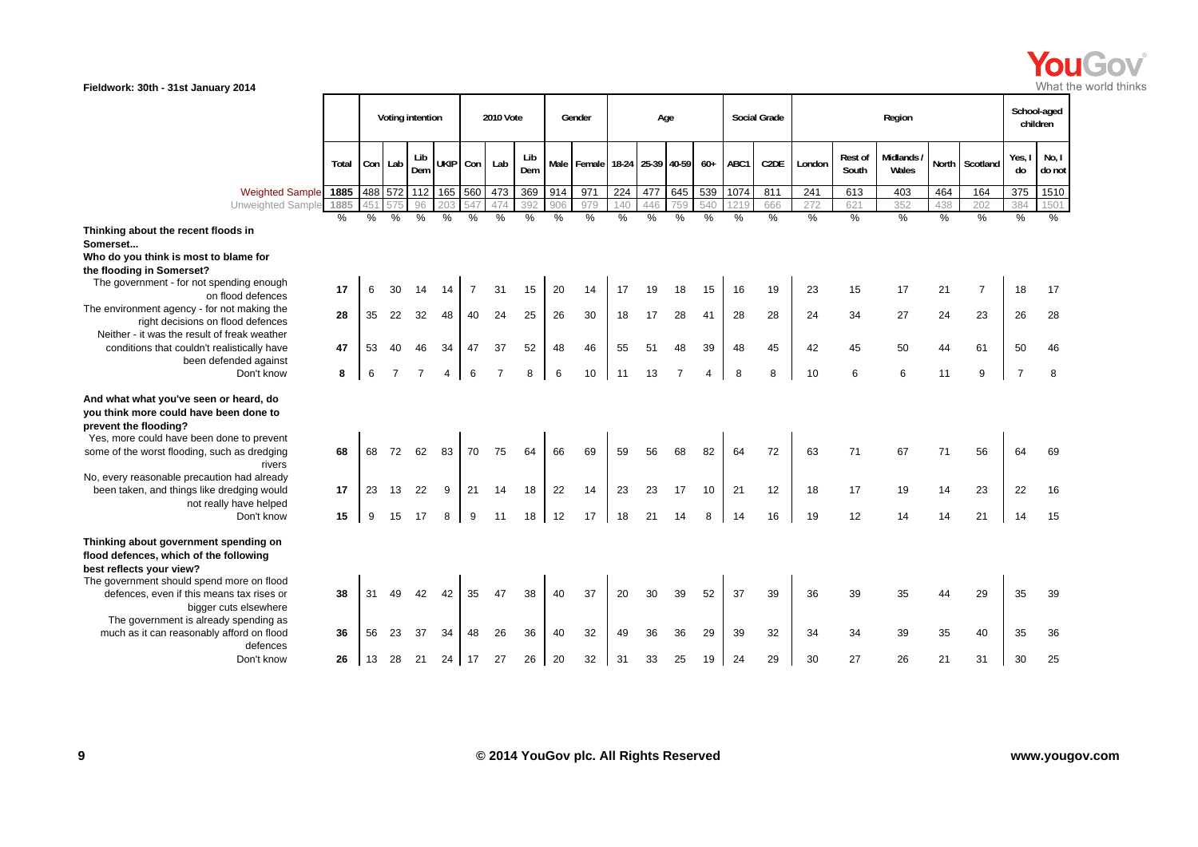

|                                                                                                                                                                                                                  |       |    |         | Voting intention |                     |                | 2010 Vote      |            |               | Gender      |      | Age               |                |       |      | <b>Social Grade</b> |               |                  | Region              |               |                |                | School-aged<br>children |
|------------------------------------------------------------------------------------------------------------------------------------------------------------------------------------------------------------------|-------|----|---------|------------------|---------------------|----------------|----------------|------------|---------------|-------------|------|-------------------|----------------|-------|------|---------------------|---------------|------------------|---------------------|---------------|----------------|----------------|-------------------------|
|                                                                                                                                                                                                                  | Total |    | Con Lab | Lib<br>Dem       | UKIP Con            |                | Lab            | Lib<br>Dem |               | Male Female |      | 18-24 25-39 40-59 |                | $60+$ | ABC1 | C <sub>2</sub> DE   | London        | Rest of<br>South | Midlands /<br>Wales |               | North Scotland | Yes, I<br>do   | No, I<br>do not         |
| Weighted Sample 1885                                                                                                                                                                                             |       |    |         |                  | 488 572 112 165 560 |                | 473            | 369        | 914           | 971         | 224  | 477               | 645            | 539   | 1074 | 811                 | 241           | 613              | 403                 | 464           | 164            | 375            | 1510                    |
| <b>Unweighted Sample</b>                                                                                                                                                                                         | 1885  |    |         | 96               |                     |                | 474            | 392        | 906           | 979         | 140  | 446               | 759            | 540   | 121  | 666                 | 272           | 621              | 352                 | 438           | 202            | 384            | 150 <sup>°</sup>        |
| Thinking about the recent floods in<br>Somerset<br>Who do you think is most to blame for<br>the flooding in Somerset?                                                                                            | %     | %  | %       | %                | %                   | %              | %              | %          | $\frac{0}{0}$ | $\%$        | $\%$ | $\frac{9}{6}$     | %              | %     | $\%$ | %                   | $\frac{0}{0}$ | %                | %                   | $\frac{0}{0}$ | %              | $\frac{0}{6}$  | %                       |
| The government - for not spending enough<br>on flood defences                                                                                                                                                    | 17    | 6  | 30      | 14               | 14                  | $\overline{7}$ | 31             | 15         | 20            | 14          | 17   | 19                | 18             | 15    | 16   | 19                  | 23            | 15               | 17                  | 21            | $\overline{7}$ | 18             | 17                      |
| The environment agency - for not making the<br>right decisions on flood defences                                                                                                                                 | 28    | 35 | 22      | 32               | 48                  | 40             | 24             | 25         | 26            | 30          | 18   | 17                | 28             | 41    | 28   | 28                  | 24            | 34               | 27                  | 24            | 23             | 26             | 28                      |
| Neither - it was the result of freak weather<br>conditions that couldn't realistically have<br>been defended against                                                                                             | 47    | 53 | 40      | 46               | 34                  | 47             | 37             | 52         | 48            | 46          | 55   | 51                | 48             | 39    | 48   | 45                  | 42            | 45               | 50                  | 44            | 61             | 50             | 46                      |
| Don't know                                                                                                                                                                                                       | 8     | 6  |         | $\overline{7}$   |                     | 6              | $\overline{7}$ | 8          | 6             | 10          | 11   | 13                | $\overline{7}$ | 4     | 8    | 8                   | 10            | 6                | 6                   | 11            | 9              | $\overline{7}$ | 8                       |
| And what what you've seen or heard, do<br>you think more could have been done to<br>prevent the flooding?<br>Yes, more could have been done to prevent<br>some of the worst flooding, such as dredging<br>rivers | 68    | 68 | 72      | 62               | 83                  | 70             | 75             | 64         | 66            | 69          | 59   | 56                | 68             | 82    | 64   | 72                  | 63            | 71               | 67                  | 71            | 56             | 64             | 69                      |
| No, every reasonable precaution had already<br>been taken, and things like dredging would                                                                                                                        | 17    | 23 | 13      | 22               | 9                   | 21             | 14             | 18         | 22            | 14          | 23   | 23                | 17             | 10    | 21   | 12                  | 18            | 17               | 19                  | 14            | 23             | 22             | 16                      |
| not really have helped<br>Don't know                                                                                                                                                                             | 15    | 9  | 15      | 17               | 8                   | 9              | 11             | 18         | 12            | 17          | 18   | 21                | 14             | 8     | 14   | 16                  | 19            | 12               | 14                  | 14            | 21             | 14             | 15                      |
| Thinking about government spending on<br>flood defences, which of the following<br>best reflects your view?<br>The government should spend more on flood<br>defences, even if this means tax rises or            | 38    | 31 | 49      | 42               | 42                  | 35             | 47             | 38         | 40            | 37          | 20   | 30                | 39             | 52    | 37   | 39                  | 36            | 39               | 35                  | 44            | 29             | 35             | 39                      |
| bigger cuts elsewhere<br>The government is already spending as                                                                                                                                                   |       |    |         |                  |                     |                |                |            |               |             |      |                   |                |       |      |                     |               |                  |                     |               |                |                |                         |
| much as it can reasonably afford on flood<br>defences                                                                                                                                                            | 36    | 56 | 23      | 37               | 34                  | 48             | 26             | 36         | 40            | 32          | 49   | 36                | 36             | 29    | 39   | 32                  | 34            | 34               | 39                  | 35            | 40             | 35             | 36                      |
| Don't know                                                                                                                                                                                                       | 26    | 13 | 28      | 21               | 24                  | 17             | 27             | 26         | 20            | 32          | 31   | 33                | 25             | 19    | 24   | 29                  | 30            | 27               | 26                  | 21            | 31             | 30             | 25                      |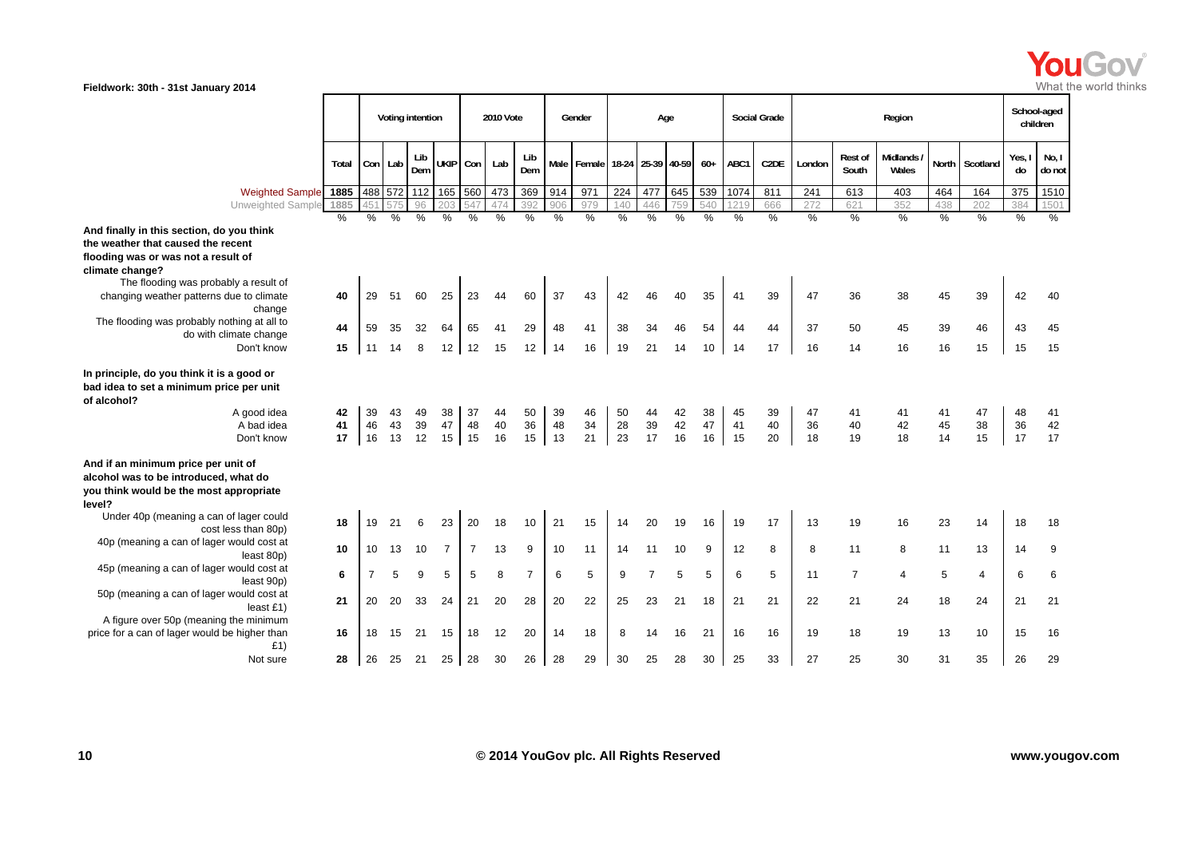

|                                                                                                                                                  |                |                |                | Voting intention |                     |                     | 2010 Vote      |                |                | Gender                   |                | Age            |                |                |                | <b>Social Grade</b> |                |                         | Region              |                |                |                | School-aged<br>children |
|--------------------------------------------------------------------------------------------------------------------------------------------------|----------------|----------------|----------------|------------------|---------------------|---------------------|----------------|----------------|----------------|--------------------------|----------------|----------------|----------------|----------------|----------------|---------------------|----------------|-------------------------|---------------------|----------------|----------------|----------------|-------------------------|
|                                                                                                                                                  | Total          |                | Con Lab        | Lib<br>Dem       | UKIP Con            |                     | Lab            | Lib<br>Dem     | Male           | Female 18-24 25-39 40-59 |                |                |                | $60+$          | ABC1           | C <sub>2</sub> DE   | London         | <b>Rest of</b><br>South | Midlands /<br>Wales |                | North Scotland | Yes, I<br>do   | No, I<br>do not         |
| Weighted Sample 1885                                                                                                                             |                |                |                |                  | 488 572 112 165 560 |                     | 473            | 369            | 914            | 971                      | 224            | 477            | 645            | 539            | 1074           | 811                 | 241            | 613                     | 403                 | 464            | 164            | 375            | 1510                    |
| Unweighted Sample                                                                                                                                | 1885           |                |                | 96               |                     |                     | 474            | 392            | 906            | 979                      | 140            | 446            | 759            | 540            |                | 666                 | 272            | 621                     | 352                 | 438            | 202            | 384            | 150'                    |
|                                                                                                                                                  | $\frac{0}{0}$  | %              | $\frac{0}{0}$  | $\%$             | $\%$                | $\frac{0}{0}$       | $\frac{0}{6}$  | %              | $\frac{0}{6}$  | %                        | %              | %              | %              | %              | %              | %                   | $\frac{0}{6}$  | $\frac{0}{6}$           | %                   | $\frac{0}{2}$  | %              | $\frac{0}{2}$  | %                       |
| And finally in this section, do you think                                                                                                        |                |                |                |                  |                     |                     |                |                |                |                          |                |                |                |                |                |                     |                |                         |                     |                |                |                |                         |
| the weather that caused the recent                                                                                                               |                |                |                |                  |                     |                     |                |                |                |                          |                |                |                |                |                |                     |                |                         |                     |                |                |                |                         |
| flooding was or was not a result of                                                                                                              |                |                |                |                  |                     |                     |                |                |                |                          |                |                |                |                |                |                     |                |                         |                     |                |                |                |                         |
| climate change?<br>The flooding was probably a result of                                                                                         |                |                |                |                  |                     |                     |                |                |                |                          |                |                |                |                |                |                     |                |                         |                     |                |                |                |                         |
| changing weather patterns due to climate<br>change                                                                                               | 40             | 29             | 51             | 60               | 25                  | 23                  | 44             | 60             | 37             | 43                       | 42             | 46             | 40             | 35             | 41             | 39                  | 47             | 36                      | 38                  | 45             | 39             | 42             | 40                      |
| The flooding was probably nothing at all to                                                                                                      |                |                |                |                  |                     |                     |                |                |                |                          |                |                |                |                |                |                     |                |                         |                     |                |                |                |                         |
| do with climate change                                                                                                                           | 44             | 59             | 35             | 32               | 64                  | 65                  | 41             | 29             | 48             | 41                       | 38             | 34             | 46             | 54             | 44             | 44                  | 37             | 50                      | 45                  | 39             | 46             | 43             | 45                      |
| Don't know                                                                                                                                       | 15             | 11             | 14             | 8                | 12 <sup>1</sup>     | 12                  | 15             | 12             | 14             | 16                       | 19             | 21             | 14             | 10             | 14             | 17                  | 16             | 14                      | 16                  | 16             | 15             | 15             | 15                      |
| In principle, do you think it is a good or<br>bad idea to set a minimum price per unit<br>of alcohol?<br>A good idea<br>A bad idea<br>Don't know | 42<br>41<br>17 | 39<br>46<br>16 | 43<br>43<br>13 | 49<br>39<br>12   | 38<br>47            | 37<br>48<br>$15$ 15 | 44<br>40<br>16 | 50<br>36<br>15 | 39<br>48<br>13 | 46<br>34<br>21           | 50<br>28<br>23 | 44<br>39<br>17 | 42<br>42<br>16 | 38<br>47<br>16 | 45<br>41<br>15 | 39<br>40<br>20      | 47<br>36<br>18 | 41<br>40<br>19          | 41<br>42<br>18      | 41<br>45<br>14 | 47<br>38<br>15 | 48<br>36<br>17 | 41<br>$42\,$<br>17      |
| And if an minimum price per unit of<br>alcohol was to be introduced, what do<br>you think would be the most appropriate                          |                |                |                |                  |                     |                     |                |                |                |                          |                |                |                |                |                |                     |                |                         |                     |                |                |                |                         |
| level?                                                                                                                                           |                |                |                |                  |                     |                     |                |                |                |                          |                |                |                |                |                |                     |                |                         |                     |                |                |                |                         |
| Under 40p (meaning a can of lager could<br>cost less than 80p)                                                                                   | 18             | 19             | 21             | 6                | 23                  | 20                  | 18             | 10             | 21             | 15                       | 14             | 20             | 19             | 16             | 19             | 17                  | 13             | 19                      | 16                  | 23             | 14             | 18             | 18                      |
| 40p (meaning a can of lager would cost at<br>least 80p)                                                                                          | 10             | 10             | 13             | 10               | $\overline{7}$      | $\overline{7}$      | 13             | 9              | 10             | 11                       | 14             | 11             | 10             | 9              | 12             | 8                   | 8              | 11                      | 8                   | 11             | 13             | 14             | 9                       |
| 45p (meaning a can of lager would cost at<br>least 90p)                                                                                          | 6              | $\overline{7}$ | 5              | 9                | 5                   | 5                   | 8              | $\overline{7}$ | 6              | 5                        | 9              | $\overline{7}$ | 5              | 5              | 6              | 5                   | 11             | $\overline{7}$          | $\overline{4}$      | 5              | $\overline{4}$ | 6              | 6                       |
| 50p (meaning a can of lager would cost at<br>least $£1)$                                                                                         | 21             | 20             | 20             | 33               | 24                  | 21                  | 20             | 28             | 20             | 22                       | 25             | 23             | 21             | 18             | 21             | 21                  | 22             | 21                      | 24                  | 18             | 24             | 21             | 21                      |
| A figure over 50p (meaning the minimum                                                                                                           |                |                |                |                  |                     |                     |                |                |                |                          |                |                |                |                |                |                     |                |                         |                     |                |                |                |                         |
| price for a can of lager would be higher than<br>£1)                                                                                             | 16             | 18             | 15             | 21               | 15                  | 18                  | 12             | 20             | 14             | 18                       | 8              | 14             | 16             | 21             | 16             | 16                  | 19             | 18                      | 19                  | 13             | 10             | 15             | 16                      |
| Not sure                                                                                                                                         | 28             | 26             | 25             | 21               | 25                  | 28                  | $30\,$         | 26             | 28             | 29                       | 30             | 25             | 28             | 30             | 25             | 33                  | 27             | 25                      | 30                  | 31             | 35             | 26             | 29                      |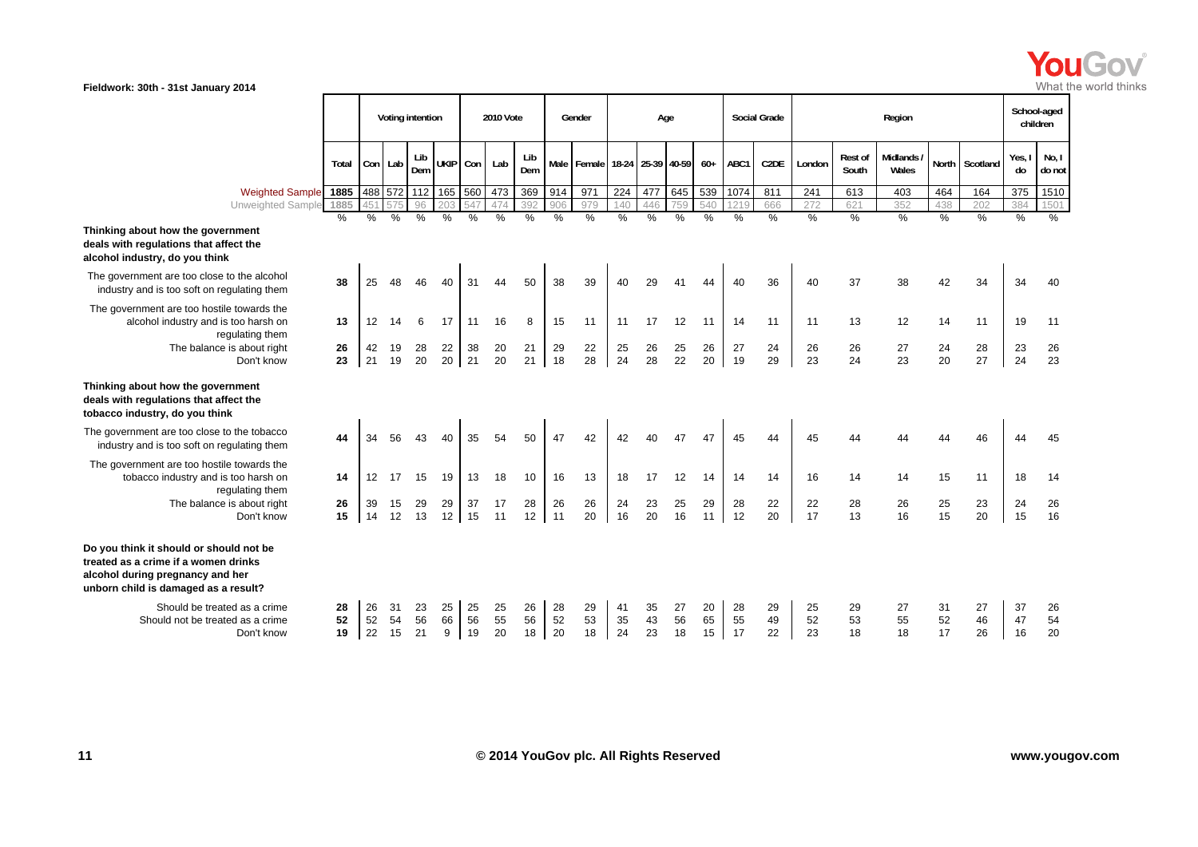

|                                                                                                                                                             |                |                |                | Voting intention |                     |                | 2010 Vote      |                |                | Gender         |                | Age               |                |                |                | <b>Social Grade</b> |                |                  | Region              |                |                | School-aged<br>children |                 |
|-------------------------------------------------------------------------------------------------------------------------------------------------------------|----------------|----------------|----------------|------------------|---------------------|----------------|----------------|----------------|----------------|----------------|----------------|-------------------|----------------|----------------|----------------|---------------------|----------------|------------------|---------------------|----------------|----------------|-------------------------|-----------------|
|                                                                                                                                                             | Total          | Con Lab        |                | Lib<br>Dem       | <b>UKIP</b>         |                | Con Lab        | Lib<br>Dem     | Male           | Female         |                | 18-24 25-39 40-59 |                | $60+$          | ABC1           | C <sub>2</sub> DE   | London         | Rest of<br>South | Midlands /<br>Wales |                | North Scotland | Yes, I<br>do            | No, I<br>do not |
| <b>Weighted Sample</b>                                                                                                                                      | 1885           |                |                |                  | 488 572 112 165 560 |                | 473            | 369            | 914            | 971            | 224            | 477               | 645            | 539            | 1074           | 811                 | 241            | 613              | 403                 | 464            | 164            | 375                     | 1510            |
| <b>Unweighted Sample</b>                                                                                                                                    | 1885           |                |                | 96               | 20.3                |                | 474            | 392            | 906            | 979            | 140            | 446               | 759            | 540            | 1219           | 666                 | 272            | 621              | 352                 | 438            | 202            | 384                     | 1501            |
| Thinking about how the government<br>deals with regulations that affect the<br>alcohol industry, do you think                                               | $\%$           | %              | %              | $\%$             | %                   | %              | %              | %              | %              | %              | %              | %                 | $\frac{0}{0}$  | %              | $\frac{0}{0}$  | $\frac{9}{6}$       | %              | $\frac{0}{0}$    | $\%$                | $\%$           | $\frac{0}{0}$  | %                       | $\%$            |
| The government are too close to the alcohol<br>industry and is too soft on regulating them                                                                  | 38             | 25             |                | 46               | 40                  | 31             | 44             | 50             | 38             | 39             | 40             | 29                | 41             | 44             | 40             | 36                  | 40             | 37               | 38                  | 42             | 34             | 34                      | 40              |
| The government are too hostile towards the<br>alcohol industry and is too harsh on<br>regulating them                                                       | 13             | 12             | 14             | 6                | 17                  | 11             | 16             | 8              | 15             | 11             | 11             | 17                | 12             | 11             | 14             | 11                  | 11             | 13               | 12                  | 14             | 11             | 19                      | 11              |
| The balance is about right<br>Don't know                                                                                                                    | 26<br>23       | 42<br>21       | 19<br>19       | 28<br>20         | 22<br>20            | 38<br>21       | 20<br>20       | 21<br>21       | 29<br>18       | 22<br>28       | 25<br>24       | 26<br>28          | 25<br>22       | 26<br>20       | 27<br>19       | 24<br>29            | 26<br>23       | 26<br>24         | 27<br>23            | 24<br>20       | 28<br>27       | 23<br>24                | 26<br>23        |
| Thinking about how the government<br>deals with regulations that affect the<br>tobacco industry, do you think                                               |                |                |                |                  |                     |                |                |                |                |                |                |                   |                |                |                |                     |                |                  |                     |                |                |                         |                 |
| The government are too close to the tobacco<br>industry and is too soft on regulating them                                                                  | 44             | 34             | 56             | 43               | 40                  | 35             | 54             | 50             | 47             | 42             | 42             | 40                | 47             | 47             | 45             | 44                  | 45             | 44               | 44                  | 44             | 46             | 44                      | 45              |
| The government are too hostile towards the<br>tobacco industry and is too harsh on<br>regulating them                                                       | 14             | 12             | 17             | 15               | 19                  | 13             | 18             | 10             | 16             | 13             | 18             | 17                | 12             | 14             | 14             | 14                  | 16             | 14               | 14                  | 15             | 11             | 18                      | 14              |
| The balance is about right<br>Don't know                                                                                                                    | 26<br>15       | 39<br>14       | 15<br>12       | 29<br>13         | 29<br>12            | 37<br>15       | 17<br>11       | 28<br>12       | 26<br>11       | 26<br>20       | 24<br>16       | 23<br>20          | 25<br>16       | 29<br>11       | 28<br>12       | 22<br>20            | 22<br>17       | 28<br>13         | 26<br>16            | 25<br>15       | 23<br>20       | 24<br>15                | 26<br>16        |
| Do you think it should or should not be<br>treated as a crime if a women drinks<br>alcohol during pregnancy and her<br>unborn child is damaged as a result? |                |                |                |                  |                     |                |                |                |                |                |                |                   |                |                |                |                     |                |                  |                     |                |                |                         |                 |
| Should be treated as a crime<br>Should not be treated as a crime<br>Don't know                                                                              | 28<br>52<br>19 | 26<br>52<br>22 | 31<br>54<br>15 | 23<br>56<br>21   | 25<br>66<br>9       | 25<br>56<br>19 | 25<br>55<br>20 | 26<br>56<br>18 | 28<br>52<br>20 | 29<br>53<br>18 | 41<br>35<br>24 | 35<br>43<br>23    | 27<br>56<br>18 | 20<br>65<br>15 | 28<br>55<br>17 | 29<br>49<br>22      | 25<br>52<br>23 | 29<br>53<br>18   | 27<br>55<br>18      | 31<br>52<br>17 | 27<br>46<br>26 | 37<br>47<br>16          | 26<br>54<br>20  |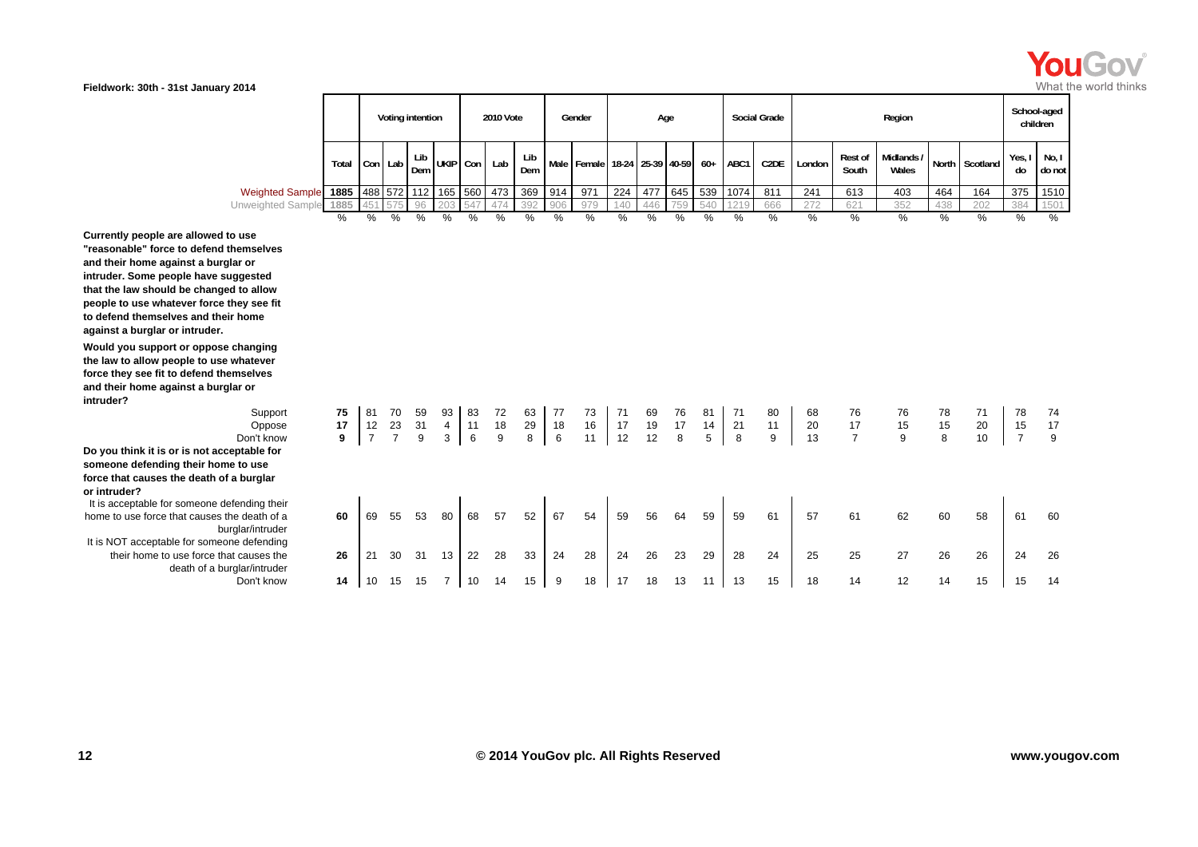

| ---                    |                                                                                                                         |   |            |                  |   |         |                                                                        |            |     |                                             |     |     |     |     |      |                     |        |                         |                     |     |                |                         | .               |
|------------------------|-------------------------------------------------------------------------------------------------------------------------|---|------------|------------------|---|---------|------------------------------------------------------------------------|------------|-----|---------------------------------------------|-----|-----|-----|-----|------|---------------------|--------|-------------------------|---------------------|-----|----------------|-------------------------|-----------------|
|                        |                                                                                                                         |   |            | Voting intention |   |         | <b>2010 Vote</b>                                                       |            |     | Gender                                      |     |     | Age |     |      | <b>Social Grade</b> |        |                         | Region              |     |                | School-aged<br>children |                 |
|                        | Total $\begin{bmatrix} \text{Con} \\ \text{Lab} \end{bmatrix}$ $\begin{bmatrix} \text{Lip} \\ \text{Dem} \end{bmatrix}$ |   |            |                  |   |         | $\int$ i ah $\int$ Lib $\int$ UKIP $\int$ Con $\int$ Lab $\int$ $\sim$ | Lib<br>Dem |     | Male   Female   18-24   25-39   40-59   60+ |     |     |     |     | ABC1 | C <sub>2</sub> DE   | London | <b>Rest of</b><br>South | Midlands /<br>Wales |     | North Scotland | Yes,<br>do              | No, I<br>do not |
| <b>Weighted Sample</b> | 1885                                                                                                                    |   |            |                  |   |         | 488 572 112 165 560 473                                                | 369 914    |     | 971                                         | 224 | 477 | 645 | 539 | 1074 | 811                 | 241    | 613                     | 403                 | 464 | 164            | 375                     | 1510            |
| Unweighted Sample 1885 |                                                                                                                         |   | 451 575 96 |                  |   | 203 547 |                                                                        | 392        | 906 | 979                                         |     |     | 759 | 540 |      | 666                 | 272    | 621                     | 352                 | 438 | 202            | 384                     | 1501            |
|                        | %                                                                                                                       | % | %          | ℅                | % | %       | %                                                                      | %          | %   | %                                           | %   | ℅   | ℅   | %   | $\%$ | %                   | %      | %                       | %                   | %   | %              | %                       | $\%$            |

**Currently people are allowed to use "reasonable" force to defend themselves and their home against a burglar or intruder. Some people have suggested that the law should be changed to allow people to use whatever force they see fit to defend themselves and their home against a burglar or intruder.**

**Would you support or oppose changing the law to allow people to use whatever force they see fit to defend themselves and their home against a burglar or intruder?**

Don't know**Do you think it is or is not acceptable for someone defending their home to use force that causes the death of a burglar or intruder?** It is acceptable for someone defending their

home to use force that causes the death of a burglar/intruder It is NOT acceptable for someone defending their home to use force that causes the death of a burglar/intruder Don't know

| cignitum odinipie 1000 |               |                |                |    |                | $1400$ 0 $12$ 112 100 000 | ب ہیں | ບບອ  | ᇦ ! +   | 711  | 44   | 41 L | ບ+ບ  | ບບອ  | $101 +$ | 011  | 44 L | <b>UIJ</b>     | ຯ∪ບ   | +ט   | דּטו | ں رن           | 10 I U                                 |
|------------------------|---------------|----------------|----------------|----|----------------|---------------------------|-------|------|---------|------|------|------|------|------|---------|------|------|----------------|-------|------|------|----------------|----------------------------------------|
| eighted Sample         | 1885          | 45'            | 575            | 96 | 203            | 547                       | 474   | 392  | 906     | 979  | 140  | 446  | 759  | 540  | 1219    | 666  | 272  | 621            | 352   | 438  | 202  | 384            | 1501                                   |
|                        | $\frac{0}{0}$ | $\frac{0}{0}$  | $\frac{0}{0}$  | %  | $\%$           | %                         | $\%$  | $\%$ | $\%$    | $\%$ | $\%$ | $\%$ | $\%$ | $\%$ | $\%$    | $\%$ | $\%$ | $\%$           | $\%$  | $\%$ | $\%$ | $\%$           | $\%$                                   |
|                        |               |                |                |    |                |                           |       |      |         |      |      |      |      |      |         |      |      |                |       |      |      |                |                                        |
| selves                 |               |                |                |    |                |                           |       |      |         |      |      |      |      |      |         |      |      |                |       |      |      |                |                                        |
|                        |               |                |                |    |                |                           |       |      |         |      |      |      |      |      |         |      |      |                |       |      |      |                |                                        |
| sted                   |               |                |                |    |                |                           |       |      |         |      |      |      |      |      |         |      |      |                |       |      |      |                |                                        |
| allow                  |               |                |                |    |                |                           |       |      |         |      |      |      |      |      |         |      |      |                |       |      |      |                |                                        |
| see fit                |               |                |                |    |                |                           |       |      |         |      |      |      |      |      |         |      |      |                |       |      |      |                |                                        |
| ne                     |               |                |                |    |                |                           |       |      |         |      |      |      |      |      |         |      |      |                |       |      |      |                |                                        |
|                        |               |                |                |    |                |                           |       |      |         |      |      |      |      |      |         |      |      |                |       |      |      |                |                                        |
| nging                  |               |                |                |    |                |                           |       |      |         |      |      |      |      |      |         |      |      |                |       |      |      |                |                                        |
| tever                  |               |                |                |    |                |                           |       |      |         |      |      |      |      |      |         |      |      |                |       |      |      |                |                                        |
| Ives                   |               |                |                |    |                |                           |       |      |         |      |      |      |      |      |         |      |      |                |       |      |      |                |                                        |
|                        |               |                |                |    |                |                           |       |      |         |      |      |      |      |      |         |      |      |                |       |      |      |                |                                        |
| Support                | 75            | 81             | 70             | 59 | 93             | 83                        | 72    | 63   | 77      | 73   | 71   | 69   | 76   | 81   | 71      | 80   | 68   | 76             | 76    | 78   | 71   | 78             | 74                                     |
| Oppose                 | 17            | 12             | 23             | 31 | $\overline{4}$ | 11                        | 18    | 29   | $18$    | 16   | 17   | 19   | 17   | 14   | 21      | 11   | 20   | 17             | 15    | 15   | 20   | 15             |                                        |
| t know'                | 9             | $\overline{7}$ | $\overline{7}$ | 9  | 3              | $\,6\,$                   | 9     | 8    | $\,6\,$ | 11   | 12   | 12   | 8    | 5    | 8       | 9    | 13   | $\overline{7}$ | $9\,$ | 8    | 10   | $\overline{7}$ | $\begin{array}{c} 17 \\ 9 \end{array}$ |
| ble for                |               |                |                |    |                |                           |       |      |         |      |      |      |      |      |         |      |      |                |       |      |      |                |                                        |
| use                    |               |                |                |    |                |                           |       |      |         |      |      |      |      |      |         |      |      |                |       |      |      |                |                                        |
| rglar                  |               |                |                |    |                |                           |       |      |         |      |      |      |      |      |         |      |      |                |       |      |      |                |                                        |
| ing their              |               |                |                |    |                |                           |       |      |         |      |      |      |      |      |         |      |      |                |       |      |      |                |                                        |
| ath of a               | 60            | 69             | 55             | 53 | 80             | 68                        | 57    | 52   | 67      | 54   | 59   | 56   | 64   | 59   | 59      | 61   | 57   | 61             | 62    | 60   | 58   | 61             | 60                                     |
| 'intruder              |               |                |                |    |                |                           |       |      |         |      |      |      |      |      |         |      |      |                |       |      |      |                |                                        |
| efending               |               |                |                |    |                |                           |       |      |         |      |      |      |      |      |         |      |      |                |       |      |      |                |                                        |
| ises the               | 26            | 21             | 30             | 31 | 13             | 22                        | 28    | 33   | 24      | 28   | 24   | 26   | 23   | 29   | 28      | 24   | 25   | 25             | 27    | 26   | 26   | 24             | 26                                     |
| 'intruder              |               |                |                |    |                |                           |       |      |         |      |      |      |      |      |         |      |      |                |       |      |      |                |                                        |
| า't know               | 14            | 10             | 15             | 15 | $\overline{7}$ | 10                        | 14    | 15   | 9       | 18   | 17   | 18   | 13   | 11   | 13      | 15   | 18   | 14             | 12    | 14   | 15   | 15             | 14                                     |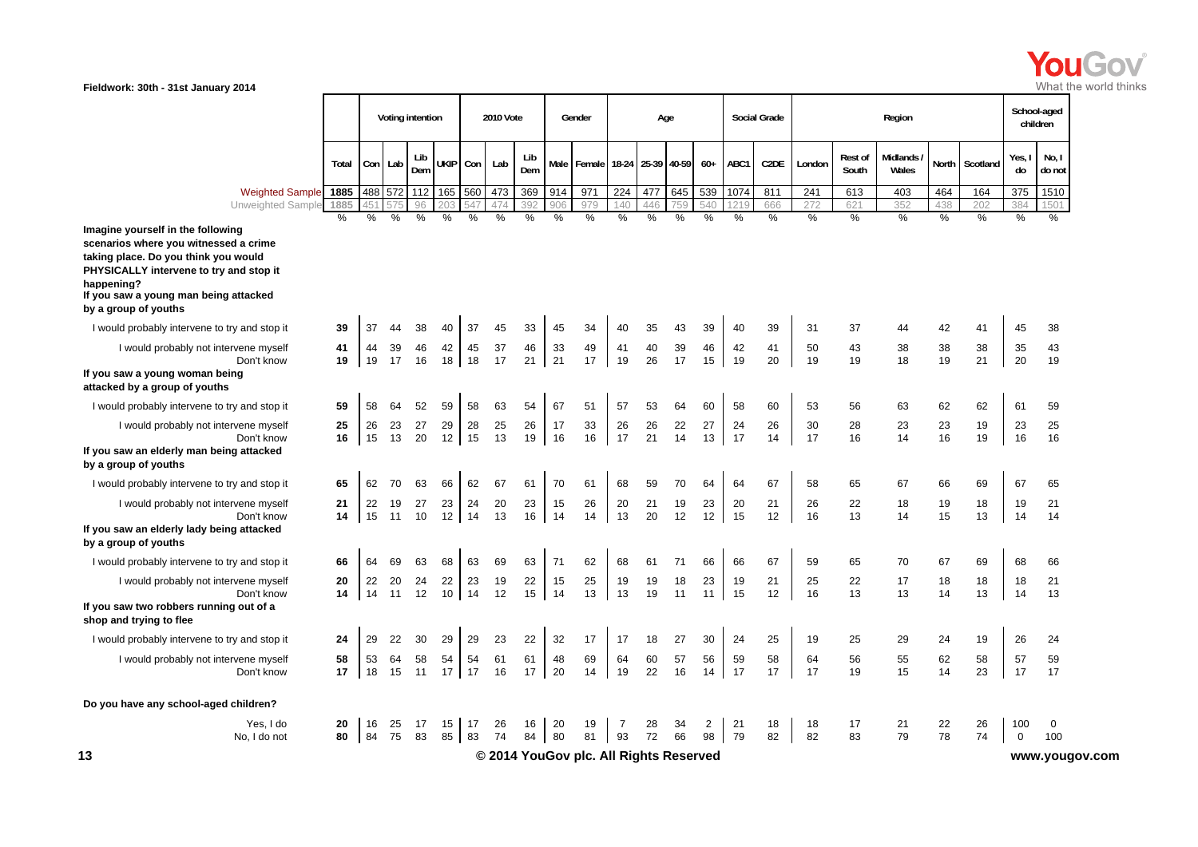

| <b>Rest of</b><br>South<br>613<br>621<br>$\%$<br>37<br>43<br>19<br>56<br>28<br>16 | Region<br>Midlands<br>Wales<br>403<br>352<br>%<br>44<br>38<br>18<br>63<br>23<br>14 | <b>North</b><br>464<br>438<br>$\%$<br>42<br>38<br>19<br>62<br>23 | Scotland<br>164<br>202<br>%<br>41<br>38<br>21<br>62<br>19 | Yes,<br>do<br>375<br>384<br>$\%$<br>45<br>35<br>20<br>61<br>23 | School-aged<br>children<br>No, I<br>do not<br>1510<br>1501<br>$\%$<br>38<br>43<br>19<br>59<br>25 |
|-----------------------------------------------------------------------------------|------------------------------------------------------------------------------------|------------------------------------------------------------------|-----------------------------------------------------------|----------------------------------------------------------------|--------------------------------------------------------------------------------------------------|
|                                                                                   |                                                                                    |                                                                  |                                                           |                                                                |                                                                                                  |
|                                                                                   |                                                                                    |                                                                  |                                                           |                                                                |                                                                                                  |
|                                                                                   |                                                                                    |                                                                  |                                                           |                                                                |                                                                                                  |
|                                                                                   |                                                                                    |                                                                  |                                                           |                                                                |                                                                                                  |
|                                                                                   |                                                                                    |                                                                  |                                                           |                                                                |                                                                                                  |
|                                                                                   |                                                                                    |                                                                  |                                                           |                                                                |                                                                                                  |
|                                                                                   |                                                                                    |                                                                  |                                                           |                                                                |                                                                                                  |
|                                                                                   |                                                                                    |                                                                  |                                                           |                                                                |                                                                                                  |
|                                                                                   |                                                                                    |                                                                  |                                                           |                                                                |                                                                                                  |
|                                                                                   |                                                                                    |                                                                  |                                                           |                                                                |                                                                                                  |
|                                                                                   |                                                                                    | 16                                                               | 19                                                        | 16                                                             | 16                                                                                               |
| 65                                                                                | 67                                                                                 | 66                                                               | 69                                                        | 67                                                             | 65                                                                                               |
| 22                                                                                | 18                                                                                 | 19                                                               | 18                                                        | 19                                                             | 21                                                                                               |
|                                                                                   | 14                                                                                 |                                                                  |                                                           |                                                                | 14                                                                                               |
| 65                                                                                | 70                                                                                 | 67                                                               | 69                                                        |                                                                | 66                                                                                               |
| 22                                                                                | 17                                                                                 | 18                                                               | 18                                                        |                                                                | 21                                                                                               |
| 13                                                                                | 13                                                                                 | 14                                                               | 13                                                        |                                                                | 13                                                                                               |
| 25                                                                                | 29                                                                                 | 24                                                               | 19                                                        |                                                                | 24                                                                                               |
| 56                                                                                | 55                                                                                 | 62                                                               | 58                                                        | 57                                                             | 59                                                                                               |
| 19                                                                                | 15                                                                                 | 14                                                               | 23                                                        |                                                                | 17                                                                                               |
|                                                                                   |                                                                                    |                                                                  |                                                           |                                                                |                                                                                                  |
| 17                                                                                | 21                                                                                 | 22                                                               | 26                                                        |                                                                | $\mathbf 0$                                                                                      |
|                                                                                   |                                                                                    |                                                                  |                                                           |                                                                | 100                                                                                              |
|                                                                                   | 13<br>83                                                                           | 79                                                               | 15<br>78                                                  | 13<br>74                                                       | 14<br>68<br>18<br>14<br>26<br>17<br>100<br>$\mathbf 0$<br>www.yougov.com                         |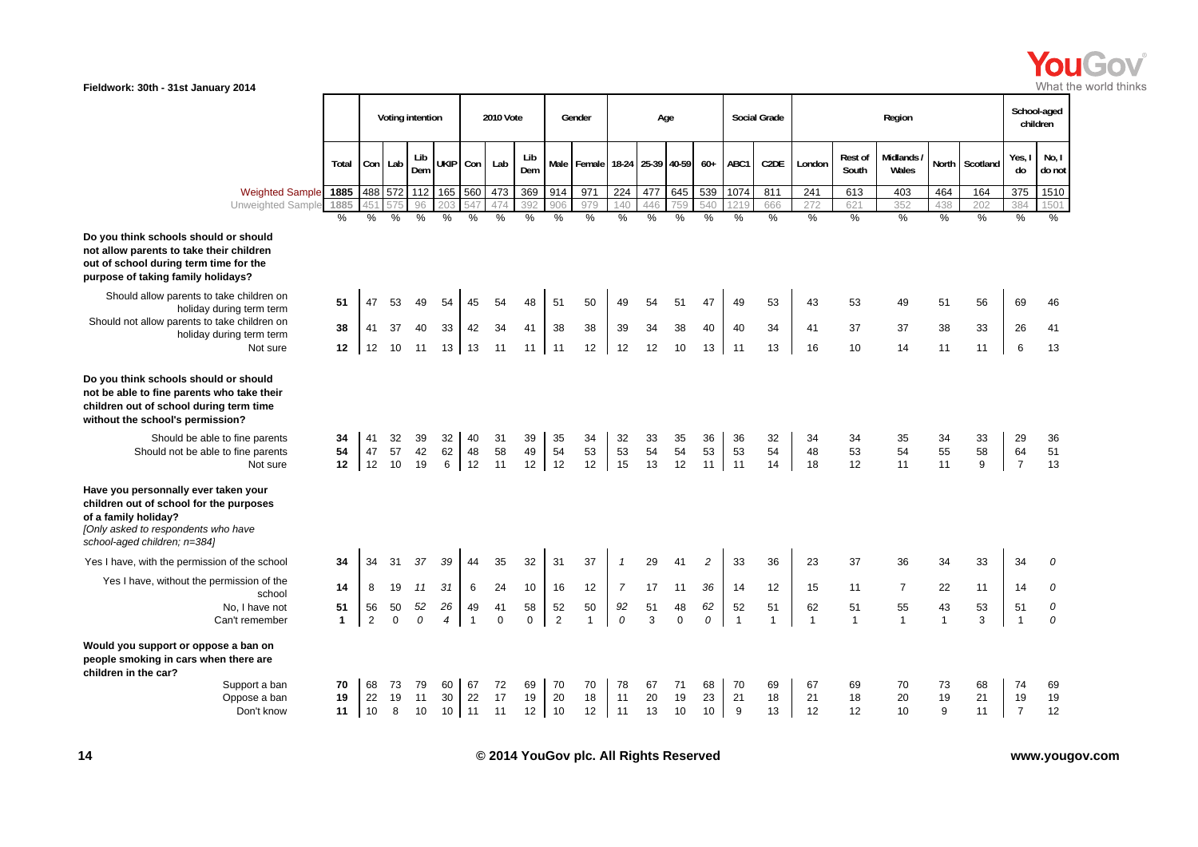

|                                                                                                                                                                                |                               | Voting intention     |                          |                            |                                | <b>2010 Vote</b>            |                             |                    | Gender                      |                             | Age                         |                             |                             |                             | <b>Social Grade</b>          |                             | Region                      |                    |                             |                             |                             | School-aged<br>children     |                           |
|--------------------------------------------------------------------------------------------------------------------------------------------------------------------------------|-------------------------------|----------------------|--------------------------|----------------------------|--------------------------------|-----------------------------|-----------------------------|--------------------|-----------------------------|-----------------------------|-----------------------------|-----------------------------|-----------------------------|-----------------------------|------------------------------|-----------------------------|-----------------------------|--------------------|-----------------------------|-----------------------------|-----------------------------|-----------------------------|---------------------------|
|                                                                                                                                                                                | Total                         |                      | Con Lab                  | Lib<br>Dem                 | UKIP Con                       |                             | Lab                         | Lib<br>Dem         |                             | Male Female 18-24           |                             | 25-39                       | 40-59                       | $60+$                       | ABC1                         | C <sub>2</sub> DE           | London                      | Rest of<br>South   | Midlands /<br>Wales         | <b>North</b>                | Scotland                    | Yes, I<br>do                | No, I<br>do not           |
| <b>Weighted Sample</b><br>Unweighted Sample                                                                                                                                    | 1885<br>1885<br>$\frac{0}{0}$ | $\%$                 | 488 572<br>$\frac{0}{0}$ | 112<br>96<br>$\frac{9}{6}$ | 165<br>20.3<br>$\frac{9}{6}$   | 560<br>547<br>$\frac{0}{0}$ | 473<br>474<br>$\frac{9}{6}$ | 369<br>392<br>$\%$ | 914<br>906<br>$\frac{9}{6}$ | 971<br>979<br>$\frac{0}{0}$ | 224<br>140<br>$\frac{1}{2}$ | 477<br>446<br>$\frac{9}{6}$ | 645<br>759<br>$\frac{9}{6}$ | 539<br>540<br>$\frac{0}{0}$ | 1074<br>121<br>$\frac{0}{0}$ | 811<br>666<br>$\frac{9}{6}$ | 241<br>272<br>$\frac{9}{6}$ | 613<br>621<br>%    | 403<br>352<br>$\frac{1}{2}$ | 464<br>438<br>$\frac{0}{0}$ | 164<br>202<br>$\frac{9}{6}$ | 375<br>384<br>$\frac{9}{6}$ | 1510<br>1501<br>%         |
| Do you think schools should or should<br>not allow parents to take their children<br>out of school during term time for the<br>purpose of taking family holidays?              |                               |                      |                          |                            |                                |                             |                             |                    |                             |                             |                             |                             |                             |                             |                              |                             |                             |                    |                             |                             |                             |                             |                           |
| Should allow parents to take children on<br>holiday during term term                                                                                                           | 51                            | 47                   | 53                       | 49                         | 54                             | 45                          | 54                          | 48                 | 51                          | 50                          | 49                          | 54                          | 51                          | 47                          | 49                           | 53                          | 43                          | 53                 | 49                          | 51                          | 56                          | 69                          | 46                        |
| Should not allow parents to take children on<br>holiday during term term<br>Not sure                                                                                           | 38<br>12                      | 41<br>12             | 37<br>10                 | 40<br>11                   | 33<br>13 <sup>1</sup>          | 42<br>13                    | 34<br>11                    | 41<br>11           | 38<br>11                    | 38<br>12                    | 39<br>12                    | 34<br>12                    | 38<br>10                    | 40<br>13                    | 40<br>11                     | 34<br>13                    | 41<br>16                    | 37<br>10           | 37<br>14                    | 38<br>11                    | 33<br>11                    | 26<br>6                     | 41<br>13                  |
| Do you think schools should or should<br>not be able to fine parents who take their<br>children out of school during term time<br>without the school's permission?             |                               |                      |                          |                            |                                |                             |                             |                    |                             |                             |                             |                             |                             |                             |                              |                             |                             |                    |                             |                             |                             |                             |                           |
| Should be able to fine parents<br>Should not be able to fine parents<br>Not sure                                                                                               | 34<br>54<br>12                | 41<br>47<br>12       | 32<br>57<br>10           | 39<br>42<br>19             | 32<br>62<br>6                  | 40<br>48<br>12              | 31<br>58<br>11              | 39<br>49<br>12     | 35<br>54<br>12              | 34<br>53<br>12              | 32<br>53<br>15              | 33<br>54<br>13              | 35<br>54<br>12              | 36<br>53<br>11              | 36<br>53<br>11               | 32<br>54<br>14              | 34<br>48<br>18              | 34<br>53<br>12     | 35<br>54<br>11              | 34<br>55<br>11              | 33<br>58<br>9               | 29<br>64<br>$\overline{7}$  | 36<br>51<br>13            |
| Have you personnally ever taken your<br>children out of school for the purposes<br>of a family holiday?<br>[Only asked to respondents who have<br>school-aged children; n=384) |                               |                      |                          |                            |                                |                             |                             |                    |                             |                             |                             |                             |                             |                             |                              |                             |                             |                    |                             |                             |                             |                             |                           |
| Yes I have, with the permission of the school                                                                                                                                  | 34                            | 34                   | 31                       | 37                         | 39                             | 44                          | 35                          | 32                 | 31                          | 37                          | $\mathbf{1}$                | 29                          | 41                          | $\overline{c}$              | 33                           | 36                          | 23                          | 37                 | 36                          | 34                          | 33                          | 34                          | 0                         |
| Yes I have, without the permission of the<br>school                                                                                                                            | 14                            | 8                    | 19                       | 11                         | 31                             | 6                           | 24                          | 10                 | 16                          | 12                          | $\overline{7}$              | 17                          | 11                          | 36                          | 14                           | 12                          | 15                          | 11                 | $\overline{7}$              | 22                          | 11                          | 14                          | 0                         |
| No. I have not<br>Can't remember                                                                                                                                               | 51<br>$\mathbf{1}$            | 56<br>$\overline{2}$ | 50<br>$\Omega$           | 52<br>$\mathcal{O}$        | 26<br>$\overline{\mathcal{A}}$ | 49<br>$\mathbf{1}$          | 41<br>$\mathbf 0$           | 58<br>$\mathbf 0$  | 52<br>$\overline{2}$        | 50<br>$\mathbf{1}$          | 92<br>$\Omega$              | 51<br>3                     | 48<br>$\Omega$              | 62<br>0                     | 52<br>$\overline{1}$         | 51<br>$\mathbf{1}$          | 62<br>$\mathbf{1}$          | 51<br>$\mathbf{1}$ | 55<br>$\mathbf{1}$          | 43<br>$\mathbf{1}$          | 53<br>3                     | 51<br>$\overline{1}$        | $\it{O}$<br>$\mathcal{O}$ |
| Would you support or oppose a ban on<br>people smoking in cars when there are<br>children in the car?                                                                          |                               |                      |                          |                            |                                |                             |                             |                    |                             |                             |                             |                             |                             |                             |                              |                             |                             |                    |                             |                             |                             |                             |                           |
| Support a ban<br>Oppose a ban<br>Don't know                                                                                                                                    | 70<br>19<br>11                | 68<br>22<br>10       | 73<br>19<br>8            | 79<br>11<br>10             | 60<br>30<br>10                 | 67<br>22<br>11              | 72<br>17<br>11              | 69<br>19<br>12     | 70<br>20<br>10              | 70<br>18<br>12              | 78<br>11<br>11              | 67<br>20<br>13              | 71<br>19<br>10              | 68<br>23<br>10              | 70<br>21<br>9                | 69<br>18<br>13              | 67<br>21<br>12              | 69<br>18<br>12     | 70<br>20<br>10              | 73<br>19<br>9               | 68<br>21<br>11              | 74<br>19<br>$\overline{7}$  | 69<br>19<br>12            |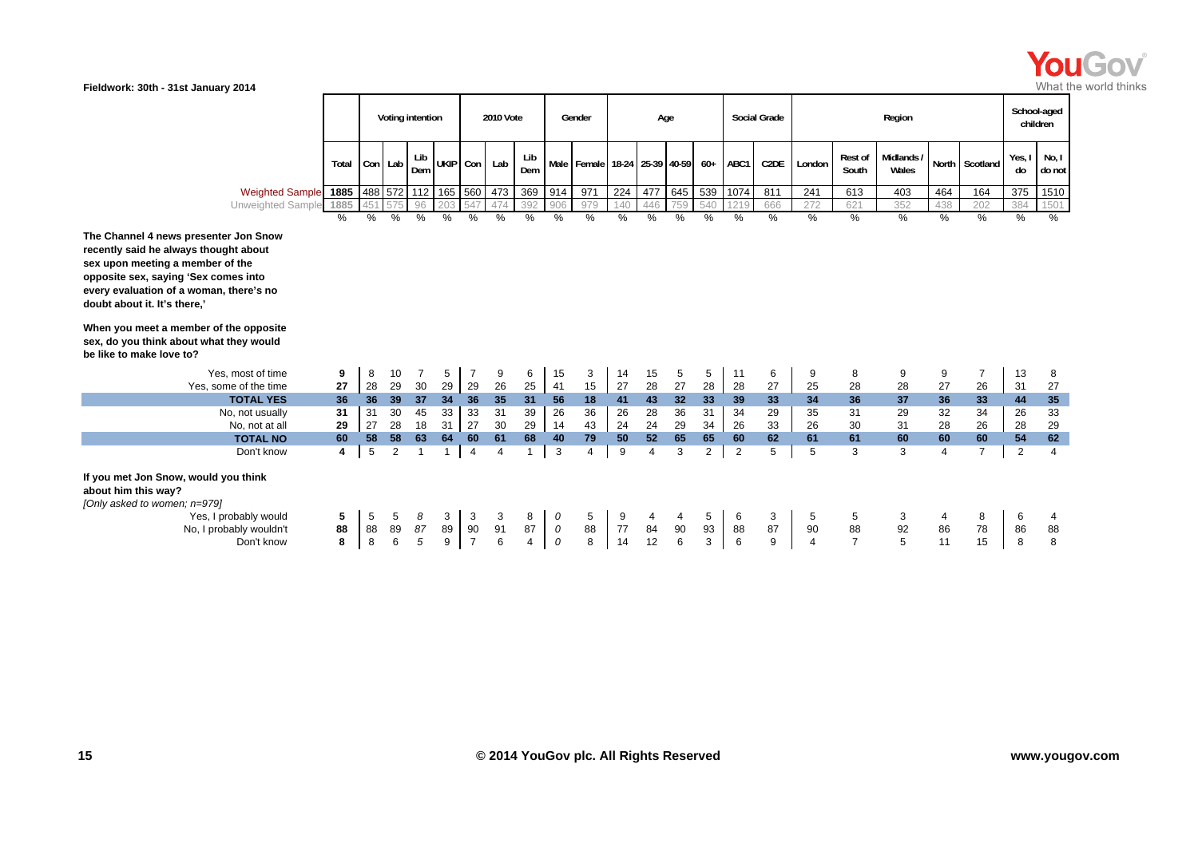

|                                                                                                                                                                                                                                       |          | Voting intention |               |                | 2010 Vote           |                      |                       | Gender     |                    | Age                                   |          |                |               | <b>Social Grade</b> |                | Region            |                |                      |                     | School-aged<br>children |                |              |                 |
|---------------------------------------------------------------------------------------------------------------------------------------------------------------------------------------------------------------------------------------|----------|------------------|---------------|----------------|---------------------|----------------------|-----------------------|------------|--------------------|---------------------------------------|----------|----------------|---------------|---------------------|----------------|-------------------|----------------|----------------------|---------------------|-------------------------|----------------|--------------|-----------------|
|                                                                                                                                                                                                                                       | Total    |                  | Con Lab       | Lib<br>Dem     | UKIP Con            |                      | Lab                   | Lib<br>Dem |                    | Male   Female   18-24   25-39   40-59 |          |                |               | $60+$               | ABC1           | C <sub>2</sub> DE | London         | Rest of<br>South     | Midlands /<br>Wales |                         | North Scotland | Yes, I<br>do | No, I<br>do not |
| Weighted Sample 1885                                                                                                                                                                                                                  |          |                  |               |                | 488 572 112 165 560 |                      | 473                   | 369        | 914                | 971                                   | 224      | 477            | 645           | 539                 | 1074           | 811               | 241            | 613                  | 403                 | 464                     | 164            | 375          | 1510            |
| Unweighted Sample 1885                                                                                                                                                                                                                |          | 45'              | 575           | 96             |                     | 547                  | 474                   | 392        | 906                | 979                                   | 140      | 446            | 759           | 540                 | 1215           | 666               | 272            | 621                  | 352                 | 438                     | 202            | 384          | 1501            |
|                                                                                                                                                                                                                                       | %        | $\frac{1}{2}$    | $\frac{1}{2}$ | $\frac{0}{0}$  | $\frac{0}{0}$       | $\frac{0}{0}$        | $\frac{0}{0}$         | $\%$       | $\frac{0}{0}$      | $\frac{0}{0}$                         | $\%$     | $\frac{0}{0}$  | $\frac{1}{2}$ | %                   | $\frac{0}{0}$  | %                 | %              | $\%$                 | $\frac{0}{0}$       | $\frac{0}{0}$           | %              | %            | $\frac{0}{0}$   |
| The Channel 4 news presenter Jon Snow<br>recently said he always thought about<br>sex upon meeting a member of the<br>opposite sex, saying 'Sex comes into<br>every evaluation of a woman, there's no<br>doubt about it. It's there,' |          |                  |               |                |                     |                      |                       |            |                    |                                       |          |                |               |                     |                |                   |                |                      |                     |                         |                |              |                 |
| When you meet a member of the opposite<br>sex, do you think about what they would<br>be like to make love to?                                                                                                                         |          |                  |               |                |                     |                      |                       |            |                    |                                       |          |                |               |                     |                |                   |                |                      |                     |                         |                |              |                 |
| Yes, most of time                                                                                                                                                                                                                     | 9        | 8                | 10            |                | 5                   | $\overline{7}$       | 9                     | 6          | 15                 | 3                                     | 14       | 15             | 5             | 5                   | 11             | 6                 | 9              | 8                    | 9                   | 9                       | $\overline{7}$ | 13           | 8               |
| Yes, some of the time                                                                                                                                                                                                                 | 27       | 28               | 29            | 30             | 29                  | 29                   | 26                    | 25         | 41                 | 15                                    | 27       | 28             | 27            | 28                  | 28             | 27                | 25             | 28                   | 28                  | 27                      | 26             | 31           | 27              |
| <b>TOTAL YES</b>                                                                                                                                                                                                                      | 36       | 36               | 39            | 37             | 34                  | 36                   | 35                    | 31         | 56                 | 18                                    | 41       | 43             | 32            | 33                  | 39             | 33                | 34             | 36                   | 37                  | 36                      | 33             | 44           | 35              |
| No, not usually                                                                                                                                                                                                                       | 31       | 31               | 30            | 45             | 33                  | 33                   | 31                    | 39         | 26                 | 36                                    | 26       | 28             | 36            | 31                  | 34             | 29                | 35             | 31                   | 29                  | 32                      | 34             | 26           | 33              |
| No, not at all<br><b>TOTAL NO</b>                                                                                                                                                                                                     | 29<br>60 | 27<br>58         | 28<br>58      | 18<br>63       | 31<br>64            | 27<br>60             | 30<br>61              | 29<br>68   | 14<br>40           | 43<br>79                              | 24<br>50 | 24<br>52       | 29<br>65      | 34<br>65            | 26<br>60       | 33<br>62          | 26<br>61       | 30<br>61             | 31<br>60            | 28<br>60                | 26<br>60       | 28<br>54     | 29<br>62        |
| Don't know                                                                                                                                                                                                                            | 4        | 5                | 2             | $\overline{ }$ | $\overline{1}$      | $\overline{4}$       | $\boldsymbol{\Delta}$ |            | 3                  | 4                                     | 9        | $\overline{4}$ | 3             | $\overline{2}$      | $\overline{2}$ | 5                 | 5              | 3                    | 3                   | $\overline{\mathbf{4}}$ | $\overline{7}$ | 2            | $\overline{4}$  |
|                                                                                                                                                                                                                                       |          |                  |               |                |                     |                      |                       |            |                    |                                       |          |                |               |                     |                |                   |                |                      |                     |                         |                |              |                 |
| If you met Jon Snow, would you think<br>about him this way?<br>[Only asked to women; n=979]                                                                                                                                           |          |                  |               |                |                     |                      |                       |            |                    |                                       |          |                |               |                     |                |                   |                |                      |                     |                         |                |              |                 |
| Yes, I probably would                                                                                                                                                                                                                 | 5        | 5                | 5             | 8              | 3                   | 3                    | 3                     | 8          | 0                  | 5                                     | 9        | 4              | 4             | 5                   | 6              | 3                 | 5              | 5                    | 3                   |                         | 8              | 6            |                 |
| No, I probably wouldn't<br>Don't know                                                                                                                                                                                                 | 88<br>8  | 88<br>8          | 89<br>6       | 87<br>5        | 89<br>9             | 90<br>$\overline{7}$ | 91<br>6               | 87<br>4    | 0<br>$\mathcal{O}$ | 88<br>8                               | 77<br>14 | 84<br>12       | 90<br>6       | 93<br>3             | 88<br>6        | 87<br>9           | 90<br>$\Delta$ | 88<br>$\overline{7}$ | 92<br>5             | 86<br>11                | 78<br>15       | 86<br>8      | 88<br>8         |